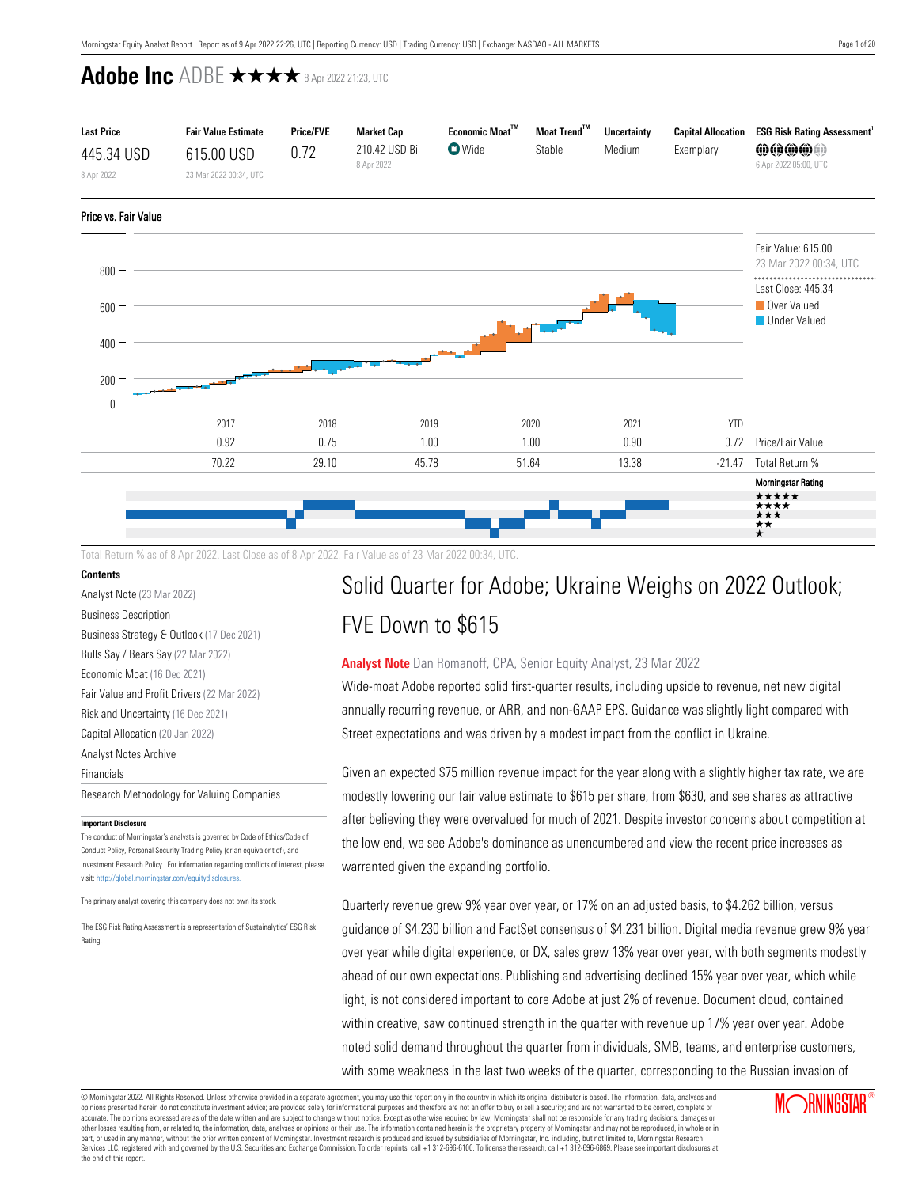

Total Return % as of 8 Apr 2022. Last Close as of 8 Apr 2022. Fair Value as of 23 Mar 2022 00:34, UTC.

## **Contents**

[Analyst Note](#page-0-0) (23 Mar 2022)

[Business Description](#page-1-0)

[Business Strategy & Outlook](#page-1-1) (17 Dec 2021) [Bulls Say / Bears Say](#page-1-2) (22 Mar 2022) [Economic Moat](#page-3-0) (16 Dec 2021) [Fair Value and Profit Drivers](#page-5-0) (22 Mar 2022) [Risk and Uncertainty](#page-6-0) (16 Dec 2021) [Capital Allocation](#page-6-1) (20 Jan 2022) [Analyst Notes Archive](#page-8-0) [Financials](#page-15-0) [Research Methodology for Valuing Companies](#page-16-0)

#### **Important Disclosure**

The conduct of Morningstar's analysts is governed by Code of Ethics/Code of Conduct Policy, Personal Security Trading Policy (or an equivalent of), and Investment Research Policy. For information regarding conflicts of interest, please visit: http://global.morningstar.com/equitydisclosures.

The primary analyst covering this company does not own its stock.

1 The ESG Risk Rating Assessment is a representation of Sustainalytics' ESG Risk Rating.

# Solid Quarter for Adobe; Ukraine Weighs on 2022 Outlook; FVE Down to \$615

## <span id="page-0-0"></span>**Analyst Note** Dan Romanoff, CPA, Senior Equity Analyst, 23 Mar 2022

Wide-moat Adobe reported solid first-quarter results, including upside to revenue, net new digital annually recurring revenue, or ARR, and non-GAAP EPS. Guidance was slightly light compared with Street expectations and was driven by a modest impact from the conflict in Ukraine.

Given an expected \$75 million revenue impact for the year along with a slightly higher tax rate, we are modestly lowering our fair value estimate to \$615 per share, from \$630, and see shares as attractive after believing they were overvalued for much of 2021. Despite investor concerns about competition at the low end, we see Adobe's dominance as unencumbered and view the recent price increases as warranted given the expanding portfolio.

Quarterly revenue grew 9% year over year, or 17% on an adjusted basis, to \$4.262 billion, versus guidance of \$4.230 billion and FactSet consensus of \$4.231 billion. Digital media revenue grew 9% year over year while digital experience, or DX, sales grew 13% year over year, with both segments modestly ahead of our own expectations. Publishing and advertising declined 15% year over year, which while light, is not considered important to core Adobe at just 2% of revenue. Document cloud, contained within creative, saw continued strength in the quarter with revenue up 17% year over year. Adobe noted solid demand throughout the quarter from individuals, SMB, teams, and enterprise customers, with some weakness in the last two weeks of the quarter, corresponding to the Russian invasion of

© Morningstar 2022. All Rights Reserved. Unless otherwise provided in a separate agreement, you may use this report only in the country in which its original distributor is based. The information, data, analyses and opinions presented herein do not constitute investment advice; are provided solely for informational purposes and therefore are not an offer to buy or sell a security; and are not warranted to be correct, complete or accurate. The opinions expressed are as of the date written and are subject to change without notice. Except as otherwise required by law, Morningstar shall not be responsible for any trading decisions, damages or other losses resulting from, or related to, the information, data, analyses or opinions or their use. The information contained herein is the proprietary property of Morningstar and may not be reproduced, in whole or in part, or used in any manner, without the prior written consent of Morningstar. Investment research is produced and issued by subsidiaries of Morningstar, Inc. including, but not limited to, Morningstar Research puryor calor many manual and governed by the U.S. Securities and Exchange Commission. To order reprints, call +1 312-696-6100. To license the research, call +1 312-696-6869. Please see important disclosures at the commissi the end of this report.



±\*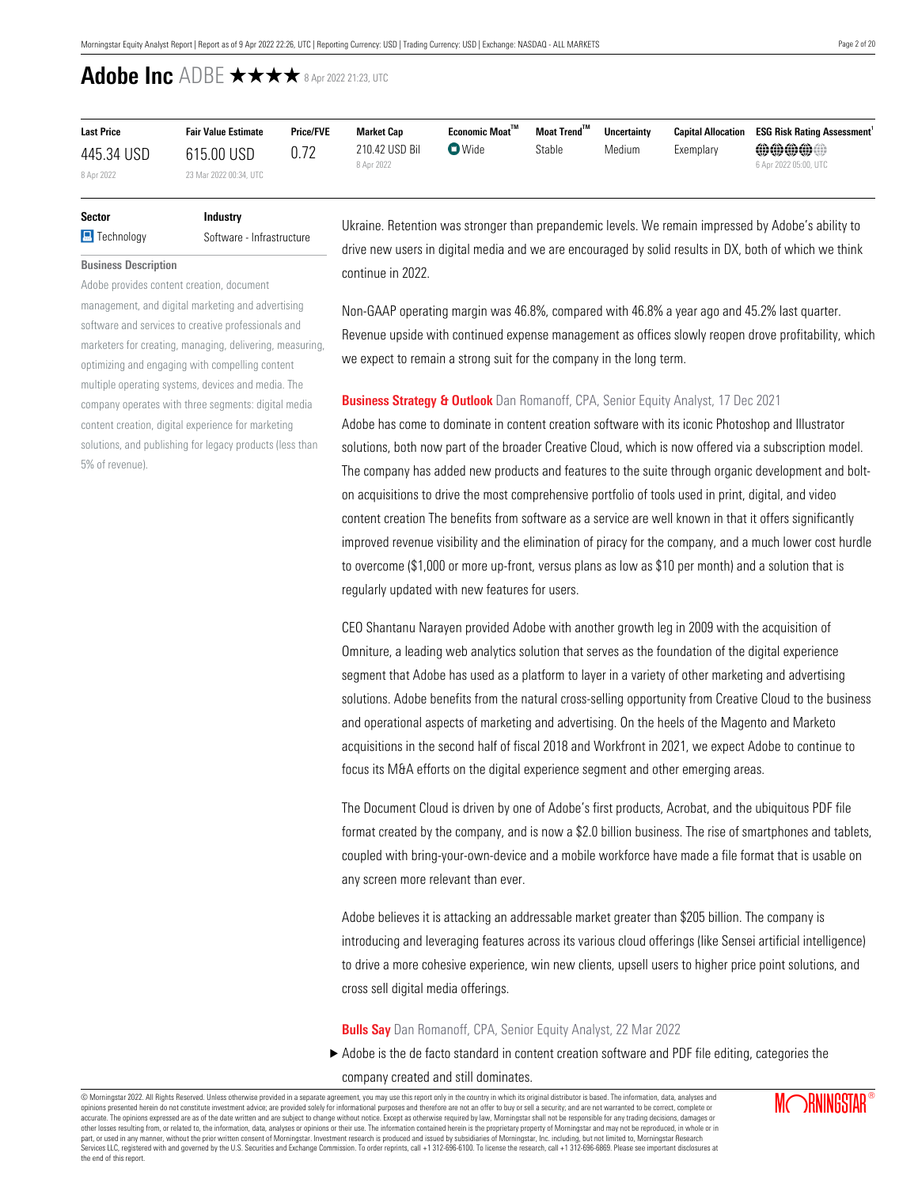| <b>Last Price</b> | <b>Fair Value Estimate</b> | <b>Price/FVE</b> | <b>Market Cap</b> | Economic Moat™          | Moat Trend™ | <b>Uncertainty</b> | <b>Capital Allocation</b> | <b>ESG Risk Rating Assessment'</b> |
|-------------------|----------------------------|------------------|-------------------|-------------------------|-------------|--------------------|---------------------------|------------------------------------|
| 445.34 USD        | 615.00 USD                 | 0.72             | 210.42 USD Bil    | $\nabla$ Wide<br>Stable |             | Medium             | Exemplarv                 | 00000                              |
| 8 Apr 2022        | 23 Mar 2022 00:34, UTC     |                  | 8 Apr 2022        |                         |             |                    |                           | 6 Apr 2022 05:00, UTC              |

# **Sector Industry a** Technology Software - Infrastructure

Adobe provides content creation, document management, and digital marketing and advertising software and services to creative professionals and marketers for creating, managing, delivering, measuring, optimizing and engaging with compelling content multiple operating systems, devices and media. The company operates with three segments: digital media content creation, digital experience for marketing solutions, and publishing for legacy products (less than

<span id="page-1-0"></span>**Business Description**

5% of revenue).

Ukraine. Retention was stronger than prepandemic levels. We remain impressed by Adobe's ability to drive new users in digital media and we are encouraged by solid results in DX, both of which we think continue in 2022.

Non-GAAP operating margin was 46.8%, compared with 46.8% a year ago and 45.2% last quarter. Revenue upside with continued expense management as offices slowly reopen drove profitability, which we expect to remain a strong suit for the company in the long term.

## <span id="page-1-1"></span>**Business Strategy & Outlook** Dan Romanoff, CPA, Senior Equity Analyst, 17 Dec 2021

Adobe has come to dominate in content creation software with its iconic Photoshop and Illustrator solutions, both now part of the broader Creative Cloud, which is now offered via a subscription model. The company has added new products and features to the suite through organic development and bolton acquisitions to drive the most comprehensive portfolio of tools used in print, digital, and video content creation The benefits from software as a service are well known in that it offers significantly improved revenue visibility and the elimination of piracy for the company, and a much lower cost hurdle to overcome (\$1,000 or more up-front, versus plans as low as \$10 per month) and a solution that is regularly updated with new features for users.

CEO Shantanu Narayen provided Adobe with another growth leg in 2009 with the acquisition of Omniture, a leading web analytics solution that serves as the foundation of the digital experience segment that Adobe has used as a platform to layer in a variety of other marketing and advertising solutions. Adobe benefits from the natural cross-selling opportunity from Creative Cloud to the business and operational aspects of marketing and advertising. On the heels of the Magento and Marketo acquisitions in the second half of fiscal 2018 and Workfront in 2021, we expect Adobe to continue to focus its M&A efforts on the digital experience segment and other emerging areas.

The Document Cloud is driven by one of Adobe's first products, Acrobat, and the ubiquitous PDF file format created by the company, and is now a \$2.0 billion business. The rise of smartphones and tablets, coupled with bring-your-own-device and a mobile workforce have made a file format that is usable on any screen more relevant than ever.

Adobe believes it is attacking an addressable market greater than \$205 billion. The company is introducing and leveraging features across its various cloud offerings (like Sensei artificial intelligence) to drive a more cohesive experience, win new clients, upsell users to higher price point solutions, and cross sell digital media offerings.

## <span id="page-1-2"></span>**Bulls Say** Dan Romanoff, CPA, Senior Equity Analyst, 22 Mar 2022

▶ Adobe is the de facto standard in content creation software and PDF file editing, categories the company created and still dominates.

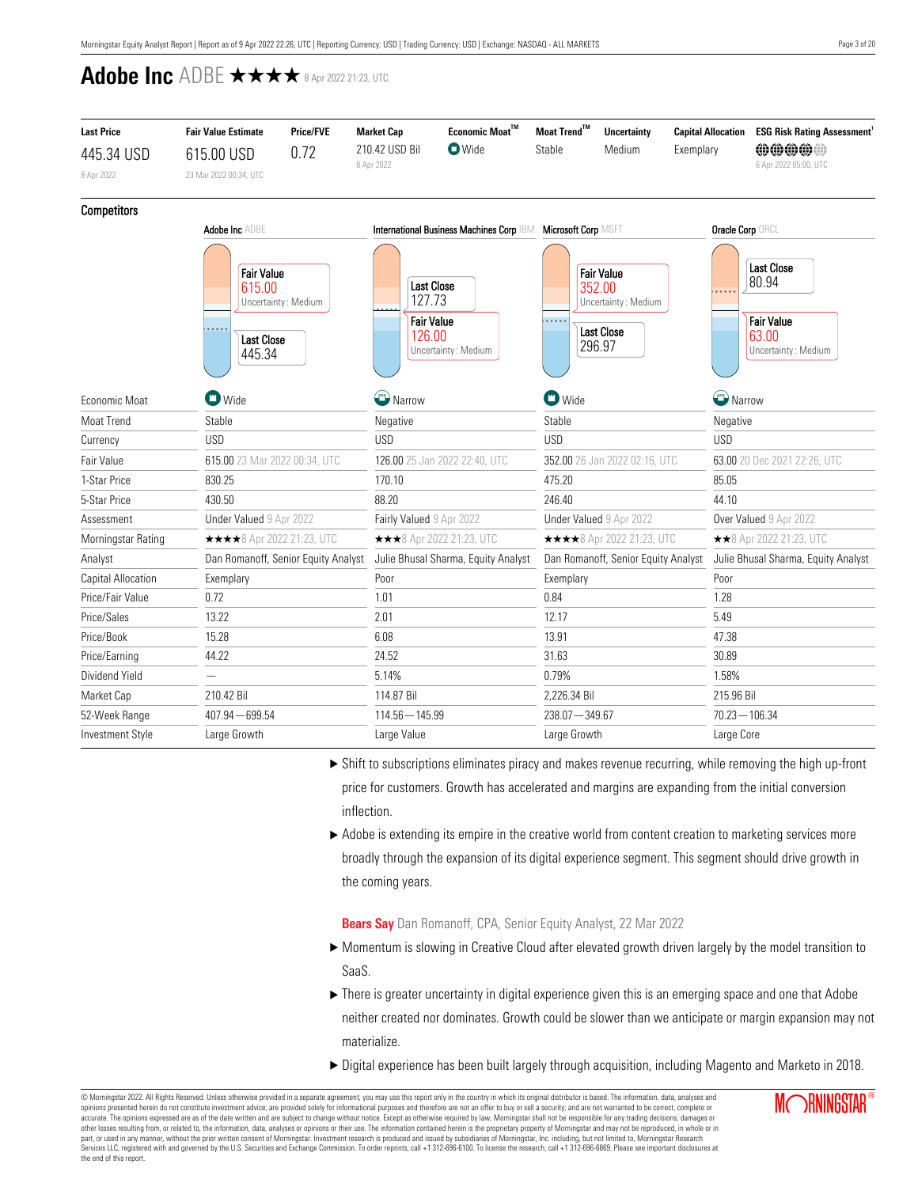| <b>Last Price</b>       | <b>Fair Value Estimate</b>                                 | <b>Price/FVE</b>                    | <b>Market Cap</b>                     | Economic Moat $^{\text{TM}}$                                 | Moat Trend™       | <b>Uncertainty</b>                                                                | <b>Capital Allocation</b> | <b>ESG Risk Rating Assessment</b>                                               |  |
|-------------------------|------------------------------------------------------------|-------------------------------------|---------------------------------------|--------------------------------------------------------------|-------------------|-----------------------------------------------------------------------------------|---------------------------|---------------------------------------------------------------------------------|--|
| 445.34 USD              | 615.00 USD                                                 | 0.72                                | 210.42 USD Bil                        | <b>O</b> Wide                                                | Stable            | Medium                                                                            | Exemplary                 | <b>@@@@@</b>                                                                    |  |
| 8 Apr 2022              | 23 Mar 2022 00:34, UTC                                     |                                     | 8 Apr 2022                            |                                                              |                   |                                                                                   |                           | 6 Apr 2022 05:00, UTC                                                           |  |
| <b>Competitors</b>      |                                                            |                                     |                                       |                                                              |                   |                                                                                   |                           |                                                                                 |  |
|                         | <b>Adobe Inc ADBE</b>                                      |                                     |                                       | International Business Machines Corp IBM Microsoft Corp MSFT |                   |                                                                                   | Oracle Corp ORCL          |                                                                                 |  |
|                         | <b>Fair Value</b><br>615.00<br><b>Last Close</b><br>445.34 | Uncertainty: Medium                 | 127.73<br><b>Fair Value</b><br>126.00 | <b>Last Close</b><br>Uncertainty: Medium                     | .                 | <b>Fair Value</b><br>352.00<br>Uncertainty: Medium<br><b>Last Close</b><br>296.97 |                           | <b>Last Close</b><br>80.94<br><b>Fair Value</b><br>63.00<br>Uncertainty: Medium |  |
| Economic Moat           | $\blacksquare$ Wide                                        |                                     | Narrow                                |                                                              | $\bullet$ Wide    |                                                                                   |                           | Narrow                                                                          |  |
| Moat Trend              | Stable                                                     |                                     | Negative                              |                                                              | Stable            |                                                                                   | Negative                  |                                                                                 |  |
| Currency                | <b>USD</b>                                                 |                                     | <b>USD</b>                            |                                                              |                   |                                                                                   | <b>USD</b>                |                                                                                 |  |
| Fair Value              | 615.00 23 Mar 2022 00:34, UTC                              |                                     |                                       | 126.00 25 Jan 2022 22:40, UTC                                |                   | 352.00 26 Jan 2022 02:16, UTC                                                     |                           | 63.00 20 Dec 2021 22:26, UTC                                                    |  |
| 1-Star Price            | 830.25                                                     |                                     | 170.10                                |                                                              |                   | 475.20                                                                            |                           |                                                                                 |  |
| 5-Star Price            | 430.50                                                     |                                     | 88.20                                 |                                                              |                   | 246.40                                                                            |                           | 44.10                                                                           |  |
| Assessment              | Under Valued 9 Apr 2022                                    |                                     | Fairly Valued 9 Apr 2022              |                                                              |                   | Under Valued 9 Apr 2022                                                           |                           | Over Valued 9 Apr 2022                                                          |  |
| Morningstar Rating      | <b>★★★★</b> 8 Apr 2022 21:23, UTC                          |                                     |                                       | ***8 Apr 2022 21:23, UTC                                     |                   | <b>★★★★</b> 8 Apr 2022 21:23, UTC                                                 |                           | ★★8 Apr 2022 21:23, UTC                                                         |  |
| Analyst                 |                                                            | Dan Romanoff, Senior Equity Analyst |                                       | Julie Bhusal Sharma, Equity Analyst                          |                   | Dan Romanoff, Senior Equity Analyst                                               |                           | Julie Bhusal Sharma, Equity Analyst                                             |  |
| Capital Allocation      | Exemplary                                                  |                                     | Poor                                  |                                                              | Exemplary         |                                                                                   | Poor                      |                                                                                 |  |
| Price/Fair Value        | 0.72                                                       |                                     | 1.01                                  |                                                              | 0.84              |                                                                                   | 1.28                      |                                                                                 |  |
| Price/Sales             | 13.22                                                      |                                     | 2.01                                  |                                                              | 12.17             |                                                                                   | 5.49                      |                                                                                 |  |
| Price/Book              | 15.28                                                      |                                     |                                       |                                                              | 13.91             |                                                                                   | 47.38                     |                                                                                 |  |
| Price/Earning           | 44.22                                                      |                                     |                                       |                                                              | 31.63             |                                                                                   |                           |                                                                                 |  |
| Dividend Yield          | $\overline{\phantom{0}}$                                   |                                     | 5.14%                                 |                                                              | 0.79%             |                                                                                   | 1.58%                     |                                                                                 |  |
| Market Cap              | 210.42 Bil                                                 |                                     |                                       |                                                              | 2,226.34 Bil      |                                                                                   | 215.96 Bil                |                                                                                 |  |
| 52-Week Range           | $407.94 - 699.54$                                          |                                     | $114.56 - 145.99$                     |                                                              | $238.07 - 349.67$ |                                                                                   |                           | $70.23 - 106.34$                                                                |  |
| <b>Investment Style</b> | Large Growth                                               |                                     | Large Value                           |                                                              | Large Growth      |                                                                                   | Large Core                |                                                                                 |  |

- $\triangleright$  Shift to subscriptions eliminates piracy and makes revenue recurring, while removing the high up-front price for customers. Growth has accelerated and margins are expanding from the initial conversion inflection.
- $\blacktriangleright$  Adobe is extending its empire in the creative world from content creation to marketing services more broadly through the expansion of its digital experience segment. This segment should drive growth in the coming years.

**Bears Say** Dan Romanoff, CPA, Senior Equity Analyst, 22 Mar 2022

- u Momentum is slowing in Creative Cloud after elevated growth driven largely by the model transition to SaaS.
- $\blacktriangleright$  There is greater uncertainty in digital experience given this is an emerging space and one that Adobe neither created nor dominates. Growth could be slower than we anticipate or margin expansion may not materialize.
- ▶ Digital experience has been built largely through acquisition, including Magento and Marketo in 2018.

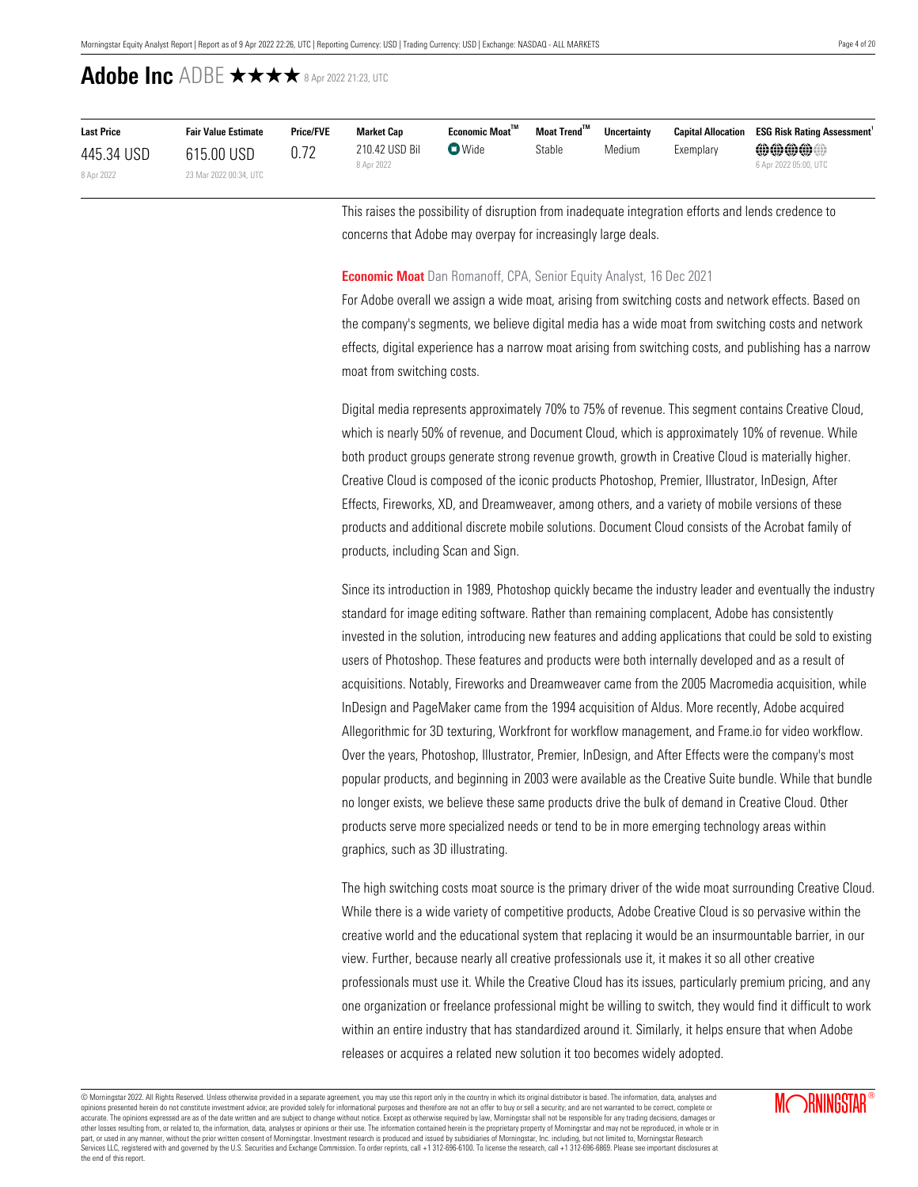| <b>Last Price</b> | <b>Fair Value Estimate</b> | <b>Price/FVE</b> | <b>Market Cap</b>            | Economic Moat™ | Moat Trend™ | <b>Uncertainty</b> |           | <b>Capital Allocation ESG Risk Rating Assessment</b> |
|-------------------|----------------------------|------------------|------------------------------|----------------|-------------|--------------------|-----------|------------------------------------------------------|
| 445.34 USD        | 615.00 USD                 |                  | 210.42 USD Bil<br>8 Apr 2022 | $\nabla$ Wide  | Stable      | Medium             | Exemplary | @@@@@@<br>6 Apr 2022 05:00, UTC                      |
| 8 Apr 2022        | 23 Mar 2022 00:34, UTC     |                  |                              |                |             |                    |           |                                                      |

This raises the possibility of disruption from inadequate integration efforts and lends credence to concerns that Adobe may overpay for increasingly large deals.

### <span id="page-3-0"></span>**Economic Moat** Dan Romanoff, CPA, Senior Equity Analyst, 16 Dec 2021

For Adobe overall we assign a wide moat, arising from switching costs and network effects. Based on the company's segments, we believe digital media has a wide moat from switching costs and network effects, digital experience has a narrow moat arising from switching costs, and publishing has a narrow moat from switching costs.

Digital media represents approximately 70% to 75% of revenue. This segment contains Creative Cloud, which is nearly 50% of revenue, and Document Cloud, which is approximately 10% of revenue. While both product groups generate strong revenue growth, growth in Creative Cloud is materially higher. Creative Cloud is composed of the iconic products Photoshop, Premier, Illustrator, InDesign, After Effects, Fireworks, XD, and Dreamweaver, among others, and a variety of mobile versions of these products and additional discrete mobile solutions. Document Cloud consists of the Acrobat family of products, including Scan and Sign.

Since its introduction in 1989, Photoshop quickly became the industry leader and eventually the industry standard for image editing software. Rather than remaining complacent, Adobe has consistently invested in the solution, introducing new features and adding applications that could be sold to existing users of Photoshop. These features and products were both internally developed and as a result of acquisitions. Notably, Fireworks and Dreamweaver came from the 2005 Macromedia acquisition, while InDesign and PageMaker came from the 1994 acquisition of Aldus. More recently, Adobe acquired Allegorithmic for 3D texturing, Workfront for workflow management, and Frame.io for video workflow. Over the years, Photoshop, Illustrator, Premier, InDesign, and After Effects were the company's most popular products, and beginning in 2003 were available as the Creative Suite bundle. While that bundle no longer exists, we believe these same products drive the bulk of demand in Creative Cloud. Other products serve more specialized needs or tend to be in more emerging technology areas within graphics, such as 3D illustrating.

The high switching costs moat source is the primary driver of the wide moat surrounding Creative Cloud. While there is a wide variety of competitive products, Adobe Creative Cloud is so pervasive within the creative world and the educational system that replacing it would be an insurmountable barrier, in our view. Further, because nearly all creative professionals use it, it makes it so all other creative professionals must use it. While the Creative Cloud has its issues, particularly premium pricing, and any one organization or freelance professional might be willing to switch, they would find it difficult to work within an entire industry that has standardized around it. Similarly, it helps ensure that when Adobe releases or acquires a related new solution it too becomes widely adopted.

© Morningstar 2022. All Rights Reserved. Unless otherwise provided in a separate agreement, you may use this report only in the country in which its original distributor is based. The information, data, analyses and opinions presented herein do not constitute investment advice; are provided solely for informational purposes and therefore are not an offer to buy or sell a security; and are not warranted to be correct, complete or accurate. The opinions expressed are as of the date written and are subject to change without notice. Except as otherwise required by law, Morningstar shall not be responsible for any trading decisions, damages or other losses resulting from, or related to, the information, data, analyses or opinions or their use. The information contained herein is the proprietary property of Morningstar and may not be reproduced, in whole or in part, or used in any manner, without the prior written consent of Morningstar. Investment research is produced and issued by subsidiaries of Morningstar, Inc. including, but not limited to, Morningstar Research<br>Services LL the end of this report.

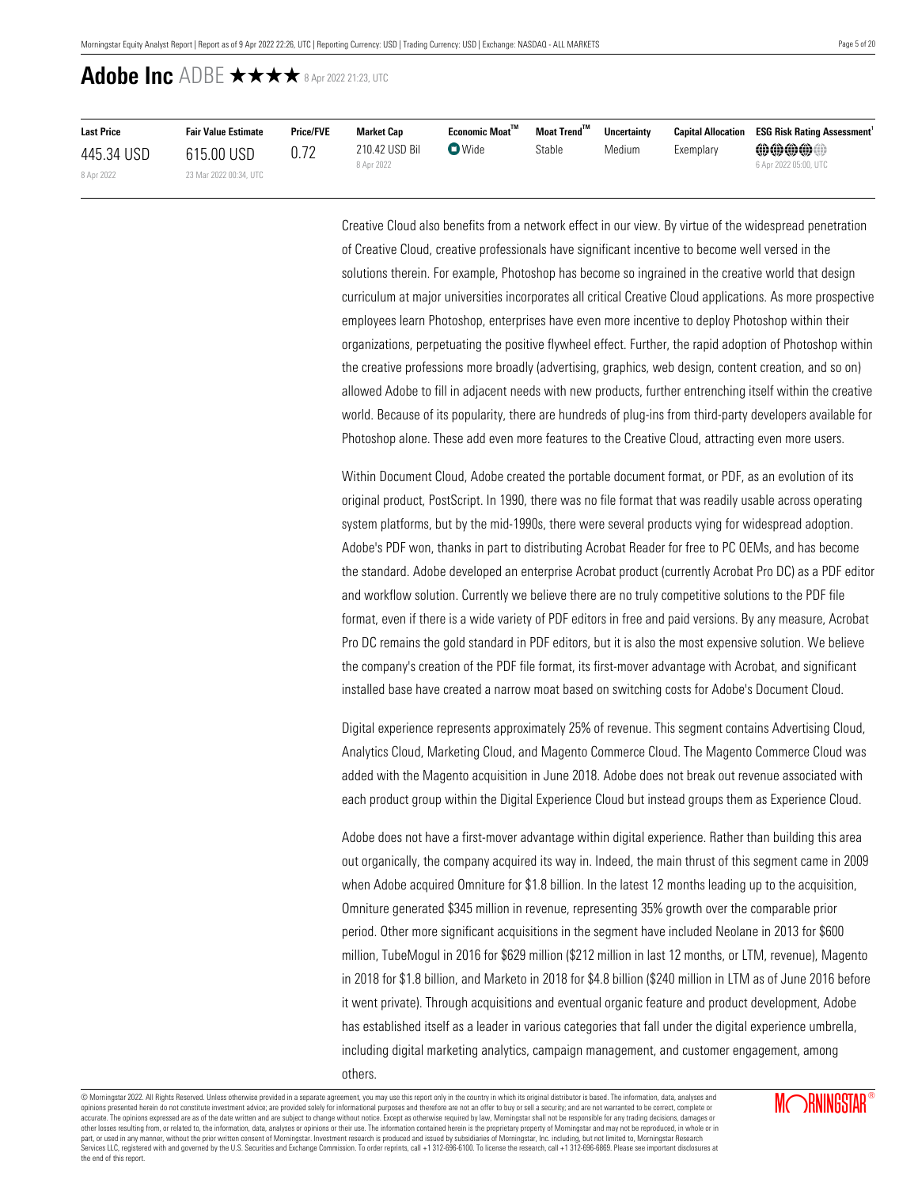| <b>Last Price</b> | <b>Fair Value Estimate</b> | <b>Price/FVE</b> | Market Cap                   | Economic Moat™ | Moat Trend™ | <b>Uncertainty</b> | <b>Capital Allocation</b> | <b>ESG Risk Rating Assessment</b> |
|-------------------|----------------------------|------------------|------------------------------|----------------|-------------|--------------------|---------------------------|-----------------------------------|
| 445.34 USD        | 615.00 USD                 | 0.72             | 210.42 USD Bil<br>8 Apr 2022 | $\nabla$ Wide  | Stable      | Medium             | Exemplary                 | @@@@@@                            |
| 8 Apr 2022        | 23 Mar 2022 00:34, UTC     |                  |                              |                |             |                    |                           | 6 Apr 2022 05:00, UTC             |

Creative Cloud also benefits from a network effect in our view. By virtue of the widespread penetration of Creative Cloud, creative professionals have significant incentive to become well versed in the solutions therein. For example, Photoshop has become so ingrained in the creative world that design curriculum at major universities incorporates all critical Creative Cloud applications. As more prospective employees learn Photoshop, enterprises have even more incentive to deploy Photoshop within their organizations, perpetuating the positive flywheel effect. Further, the rapid adoption of Photoshop within the creative professions more broadly (advertising, graphics, web design, content creation, and so on) allowed Adobe to fill in adjacent needs with new products, further entrenching itself within the creative world. Because of its popularity, there are hundreds of plug-ins from third-party developers available for Photoshop alone. These add even more features to the Creative Cloud, attracting even more users.

Within Document Cloud, Adobe created the portable document format, or PDF, as an evolution of its original product, PostScript. In 1990, there was no file format that was readily usable across operating system platforms, but by the mid-1990s, there were several products vying for widespread adoption. Adobe's PDF won, thanks in part to distributing Acrobat Reader for free to PC OEMs, and has become the standard. Adobe developed an enterprise Acrobat product (currently Acrobat Pro DC) as a PDF editor and workflow solution. Currently we believe there are no truly competitive solutions to the PDF file format, even if there is a wide variety of PDF editors in free and paid versions. By any measure, Acrobat Pro DC remains the gold standard in PDF editors, but it is also the most expensive solution. We believe the company's creation of the PDF file format, its first-mover advantage with Acrobat, and significant installed base have created a narrow moat based on switching costs for Adobe's Document Cloud.

Digital experience represents approximately 25% of revenue. This segment contains Advertising Cloud, Analytics Cloud, Marketing Cloud, and Magento Commerce Cloud. The Magento Commerce Cloud was added with the Magento acquisition in June 2018. Adobe does not break out revenue associated with each product group within the Digital Experience Cloud but instead groups them as Experience Cloud.

Adobe does not have a first-mover advantage within digital experience. Rather than building this area out organically, the company acquired its way in. Indeed, the main thrust of this segment came in 2009 when Adobe acquired Omniture for \$1.8 billion. In the latest 12 months leading up to the acquisition, Omniture generated \$345 million in revenue, representing 35% growth over the comparable prior period. Other more significant acquisitions in the segment have included Neolane in 2013 for \$600 million, TubeMogul in 2016 for \$629 million (\$212 million in last 12 months, or LTM, revenue), Magento in 2018 for \$1.8 billion, and Marketo in 2018 for \$4.8 billion (\$240 million in LTM as of June 2016 before it went private). Through acquisitions and eventual organic feature and product development, Adobe has established itself as a leader in various categories that fall under the digital experience umbrella, including digital marketing analytics, campaign management, and customer engagement, among others.

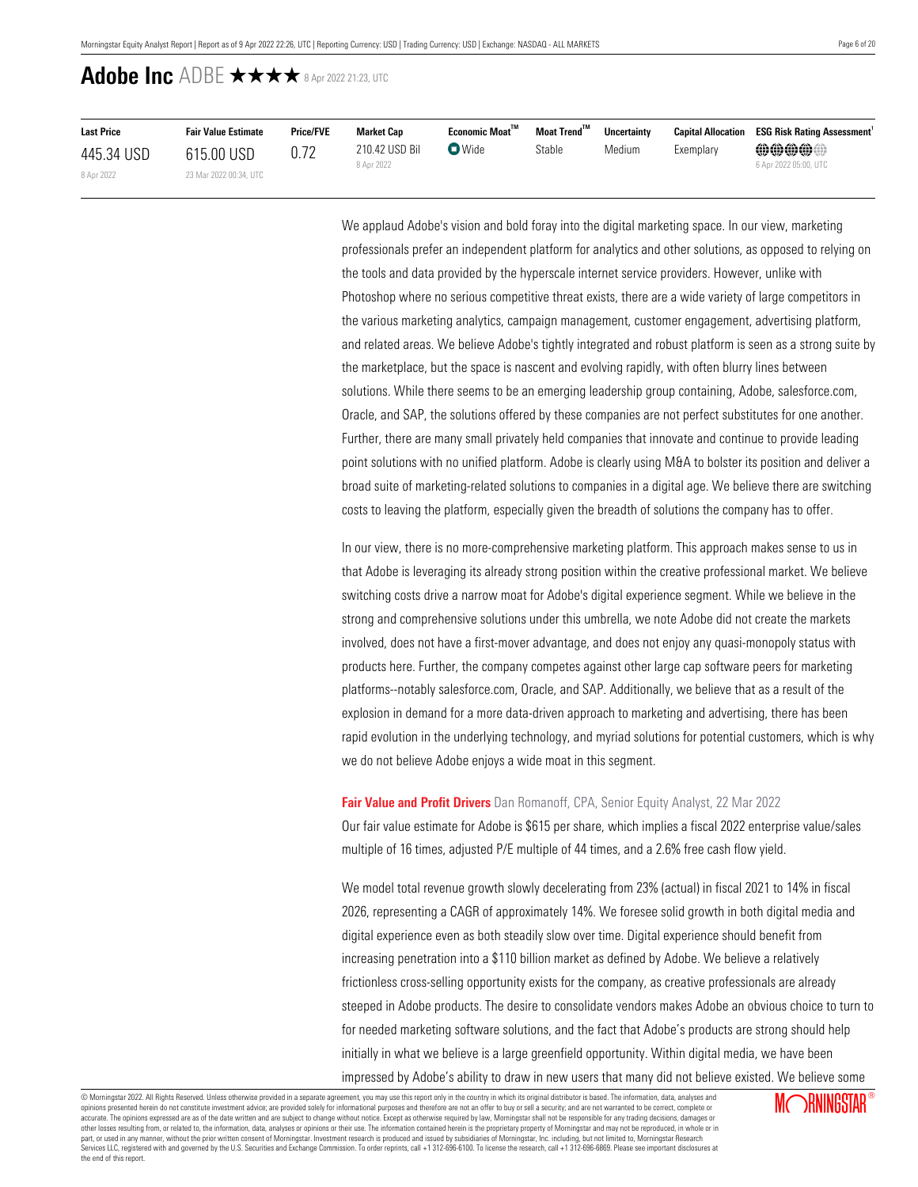| <b>Last Price</b> | <b>Fair Value Estimate</b> | <b>Price/FVE</b> | Market Cap                   | Economic Moat™ | Moat Trend™ | <b>Uncertainty</b> | <b>Capital Allocation</b> | <b>ESG Risk Rating Assessment</b> |
|-------------------|----------------------------|------------------|------------------------------|----------------|-------------|--------------------|---------------------------|-----------------------------------|
| 445.34 USD        | 615.00 USD                 | 0.72             | 210.42 USD Bil<br>8 Apr 2022 | $\nabla$ Wide  | Stable      | Medium             | Exemplary                 | @@@@@@<br>6 Apr 2022 05:00, UTC   |
| 8 Apr 2022        | 23 Mar 2022 00:34, UTC     |                  |                              |                |             |                    |                           |                                   |

We applaud Adobe's vision and bold foray into the digital marketing space. In our view, marketing professionals prefer an independent platform for analytics and other solutions, as opposed to relying on the tools and data provided by the hyperscale internet service providers. However, unlike with Photoshop where no serious competitive threat exists, there are a wide variety of large competitors in the various marketing analytics, campaign management, customer engagement, advertising platform, and related areas. We believe Adobe's tightly integrated and robust platform is seen as a strong suite by the marketplace, but the space is nascent and evolving rapidly, with often blurry lines between solutions. While there seems to be an emerging leadership group containing, Adobe, salesforce.com, Oracle, and SAP, the solutions offered by these companies are not perfect substitutes for one another. Further, there are many small privately held companies that innovate and continue to provide leading point solutions with no unified platform. Adobe is clearly using M&A to bolster its position and deliver a broad suite of marketing-related solutions to companies in a digital age. We believe there are switching costs to leaving the platform, especially given the breadth of solutions the company has to offer.

In our view, there is no more-comprehensive marketing platform. This approach makes sense to us in that Adobe is leveraging its already strong position within the creative professional market. We believe switching costs drive a narrow moat for Adobe's digital experience segment. While we believe in the strong and comprehensive solutions under this umbrella, we note Adobe did not create the markets involved, does not have a first-mover advantage, and does not enjoy any quasi-monopoly status with products here. Further, the company competes against other large cap software peers for marketing platforms--notably salesforce.com, Oracle, and SAP. Additionally, we believe that as a result of the explosion in demand for a more data-driven approach to marketing and advertising, there has been rapid evolution in the underlying technology, and myriad solutions for potential customers, which is why we do not believe Adobe enjoys a wide moat in this segment.

#### <span id="page-5-0"></span>**Fair Value and Profit Drivers** Dan Romanoff, CPA, Senior Equity Analyst, 22 Mar 2022

Our fair value estimate for Adobe is \$615 per share, which implies a fiscal 2022 enterprise value/sales multiple of 16 times, adjusted P/E multiple of 44 times, and a 2.6% free cash flow yield.

We model total revenue growth slowly decelerating from 23% (actual) in fiscal 2021 to 14% in fiscal 2026, representing a CAGR of approximately 14%. We foresee solid growth in both digital media and digital experience even as both steadily slow over time. Digital experience should benefit from increasing penetration into a \$110 billion market as defined by Adobe. We believe a relatively frictionless cross-selling opportunity exists for the company, as creative professionals are already steeped in Adobe products. The desire to consolidate vendors makes Adobe an obvious choice to turn to for needed marketing software solutions, and the fact that Adobe's products are strong should help initially in what we believe is a large greenfield opportunity. Within digital media, we have been impressed by Adobe's ability to draw in new users that many did not believe existed. We believe some

© Morningstar 2022. All Rights Reserved. Unless otherwise provided in a separate agreement, you may use this report only in the country in which its original distributor is based. The information, data, analyses and opinions presented herein do not constitute investment advice; are provided solely for informational purposes and therefore are not an offer to buy or sell a security; and are not warranted to be correct, complete or accurate. The opinions expressed are as of the date written and are subject to change without notice. Except as otherwise required by law, Morningstar shall not be responsible for any trading decisions, damages or other losses resulting from, or related to, the information, data, analyses or opinions or their use. The information contained herein is the proprietary property of Morningstar and may not be reproduced, in whole or in ou part, or used in any manner, without the prior written consent of Morningstar. Investment research is produced and issued by subsidiaries of Morningstar, Inc. including, but not limited to, Morningstar Research puryor calor many manual and governed by the U.S. Securities and Exchange Commission. To order reprints, call +1 312-696-6100. To license the research, call +1 312-696-6869. Please see important disclosures at the commissi the end of this report.

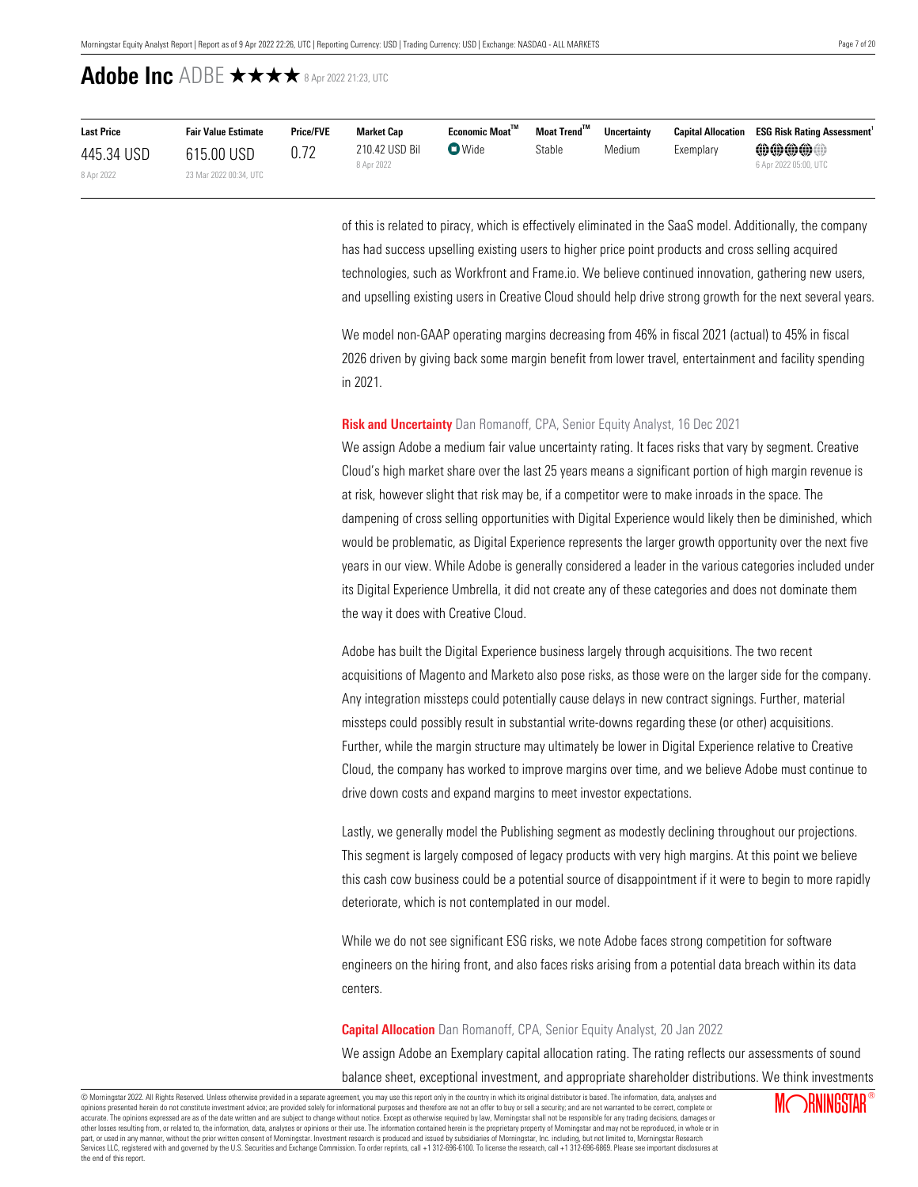| <b>Last Price</b> | <b>Fair Value Estimate</b> | <b>Price/FVE</b> | <b>Market Cap</b>            | Economic Moat <sup>™</sup> | Moat Trend™ | <b>Uncertainty</b> |           | <b>Capital Allocation ESG Risk Rating Assessment</b> |
|-------------------|----------------------------|------------------|------------------------------|----------------------------|-------------|--------------------|-----------|------------------------------------------------------|
| 445.34 USD        | 615.00 USD                 |                  | 210.42 USD Bil<br>8 Apr 2022 | $\bullet$ Wide             | Stable      | Medium             | Exemplary | <b>@@@@@</b><br>6 Apr 2022 05:00, UTC                |
| 8 Apr 2022        | 23 Mar 2022 00:34, UTC     |                  |                              |                            |             |                    |           |                                                      |

of this is related to piracy, which is effectively eliminated in the SaaS model. Additionally, the company has had success upselling existing users to higher price point products and cross selling acquired technologies, such as Workfront and Frame.io. We believe continued innovation, gathering new users, and upselling existing users in Creative Cloud should help drive strong growth for the next several years.

We model non-GAAP operating margins decreasing from 46% in fiscal 2021 (actual) to 45% in fiscal 2026 driven by giving back some margin benefit from lower travel, entertainment and facility spending in 2021.

## <span id="page-6-0"></span>**Risk and Uncertainty** Dan Romanoff, CPA, Senior Equity Analyst, 16 Dec 2021

We assign Adobe a medium fair value uncertainty rating. It faces risks that vary by segment. Creative Cloud's high market share over the last 25 years means a significant portion of high margin revenue is at risk, however slight that risk may be, if a competitor were to make inroads in the space. The dampening of cross selling opportunities with Digital Experience would likely then be diminished, which would be problematic, as Digital Experience represents the larger growth opportunity over the next five years in our view. While Adobe is generally considered a leader in the various categories included under its Digital Experience Umbrella, it did not create any of these categories and does not dominate them the way it does with Creative Cloud.

Adobe has built the Digital Experience business largely through acquisitions. The two recent acquisitions of Magento and Marketo also pose risks, as those were on the larger side for the company. Any integration missteps could potentially cause delays in new contract signings. Further, material missteps could possibly result in substantial write-downs regarding these (or other) acquisitions. Further, while the margin structure may ultimately be lower in Digital Experience relative to Creative Cloud, the company has worked to improve margins over time, and we believe Adobe must continue to drive down costs and expand margins to meet investor expectations.

Lastly, we generally model the Publishing segment as modestly declining throughout our projections. This segment is largely composed of legacy products with very high margins. At this point we believe this cash cow business could be a potential source of disappointment if it were to begin to more rapidly deteriorate, which is not contemplated in our model.

While we do not see significant ESG risks, we note Adobe faces strong competition for software engineers on the hiring front, and also faces risks arising from a potential data breach within its data centers.

### <span id="page-6-1"></span>**Capital Allocation** Dan Romanoff, CPA, Senior Equity Analyst, 20 Jan 2022

We assign Adobe an Exemplary capital allocation rating. The rating reflects our assessments of sound balance sheet, exceptional investment, and appropriate shareholder distributions. We think investments

© Morningstar 2022. All Rights Reserved. Unless otherwise provided in a separate agreement, you may use this report only in the country in which its original distributor is based. The information, data, analyses and opinions presented herein do not constitute investment advice; are provided solely for informational purposes and therefore are not an offer to buy or sell a security; and are not warranted to be correct, complete or accurate. The opinions expressed are as of the date written and are subject to change without notice. Except as otherwise required by law, Morningstar shall not be responsible for any trading decisions, damages or other losses resulting from, or related to, the information, data, analyses or opinions or their use. The information contained herein is the proprietary property of Morningstar and may not be reproduced, in whole or in ou part, or used in any manner, without the prior written consent of Morningstar. Investment research is produced and issued by subsidiaries of Morningstar, Inc. including, but not limited to, Morningstar Research puryor calor many manual and governed by the U.S. Securities and Exchange Commission. To order reprints, call +1 312-696-6100. To license the research, call +1 312-696-6869. Please see important disclosures at the commissi the end of this report.

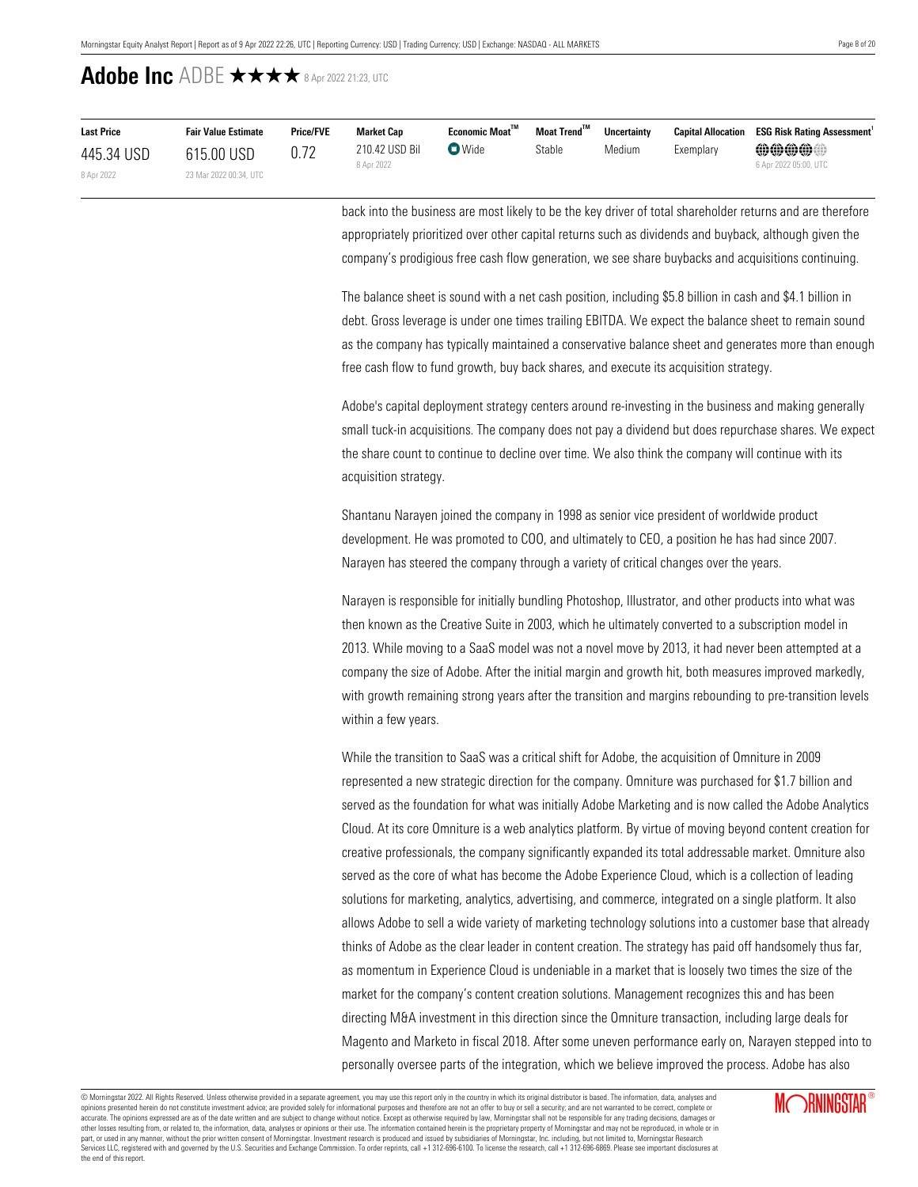| <b>Last Price</b> | <b>Fair Value Estimate</b> | <b>Price/FVE</b> | Market Cap     | Economic Moat™ | Moat Trend <sup>™</sup> | <b>Uncertainty</b> |           | <b>Capital Allocation ESG Risk Rating Assessment</b> |
|-------------------|----------------------------|------------------|----------------|----------------|-------------------------|--------------------|-----------|------------------------------------------------------|
| 445.34 USD        | 615.00 USD                 | 0.72             | 210.42 USD Bil | $\bullet$ Wide | Stable                  | Medium             | Exemplary | $\oplus \oplus \oplus \oplus$                        |
| 8 Apr 2022        | 23 Mar 2022 00:34, UTC     |                  | 8 Apr 2022     |                |                         |                    |           | 6 Apr 2022 05:00, UTC                                |

back into the business are most likely to be the key driver of total shareholder returns and are therefore appropriately prioritized over other capital returns such as dividends and buyback, although given the company's prodigious free cash flow generation, we see share buybacks and acquisitions continuing.

The balance sheet is sound with a net cash position, including \$5.8 billion in cash and \$4.1 billion in debt. Gross leverage is under one times trailing EBITDA. We expect the balance sheet to remain sound as the company has typically maintained a conservative balance sheet and generates more than enough free cash flow to fund growth, buy back shares, and execute its acquisition strategy.

Adobe's capital deployment strategy centers around re-investing in the business and making generally small tuck-in acquisitions. The company does not pay a dividend but does repurchase shares. We expect the share count to continue to decline over time. We also think the company will continue with its acquisition strategy.

Shantanu Narayen joined the company in 1998 as senior vice president of worldwide product development. He was promoted to COO, and ultimately to CEO, a position he has had since 2007. Narayen has steered the company through a variety of critical changes over the years.

Narayen is responsible for initially bundling Photoshop, Illustrator, and other products into what was then known as the Creative Suite in 2003, which he ultimately converted to a subscription model in 2013. While moving to a SaaS model was not a novel move by 2013, it had never been attempted at a company the size of Adobe. After the initial margin and growth hit, both measures improved markedly, with growth remaining strong years after the transition and margins rebounding to pre-transition levels within a few years.

While the transition to SaaS was a critical shift for Adobe, the acquisition of Omniture in 2009 represented a new strategic direction for the company. Omniture was purchased for \$1.7 billion and served as the foundation for what was initially Adobe Marketing and is now called the Adobe Analytics Cloud. At its core Omniture is a web analytics platform. By virtue of moving beyond content creation for creative professionals, the company significantly expanded its total addressable market. Omniture also served as the core of what has become the Adobe Experience Cloud, which is a collection of leading solutions for marketing, analytics, advertising, and commerce, integrated on a single platform. It also allows Adobe to sell a wide variety of marketing technology solutions into a customer base that already thinks of Adobe as the clear leader in content creation. The strategy has paid off handsomely thus far, as momentum in Experience Cloud is undeniable in a market that is loosely two times the size of the market for the company's content creation solutions. Management recognizes this and has been directing M&A investment in this direction since the Omniture transaction, including large deals for Magento and Marketo in fiscal 2018. After some uneven performance early on, Narayen stepped into to personally oversee parts of the integration, which we believe improved the process. Adobe has also

© Morningstar 2022. All Rights Reserved. Unless otherwise provided in a separate agreement, you may use this report only in the country in which its original distributor is based. The information, data, analyses and opinions presented herein do not constitute investment advice; are provided solely for informational purposes and therefore are not an offer to buy or sell a security; and are not warranted to be correct, complete or accurate. The opinions expressed are as of the date written and are subject to change without notice. Except as otherwise required by law, Morningstar shall not be responsible for any trading decisions, damages or other losses resulting from, or related to, the information, data, analyses or opinions or their use. The information contained herein is the proprietary property of Morningstar and may not be reproduced, in whole or in part, or used in any manner, without the prior written consent of Morningstar. Investment research is produced and issued by subsidiaries of Morningstar, Inc. including, but not limited to, Morningstar Research<br>Services LL the end of this report.

**MORNINGSTAR®**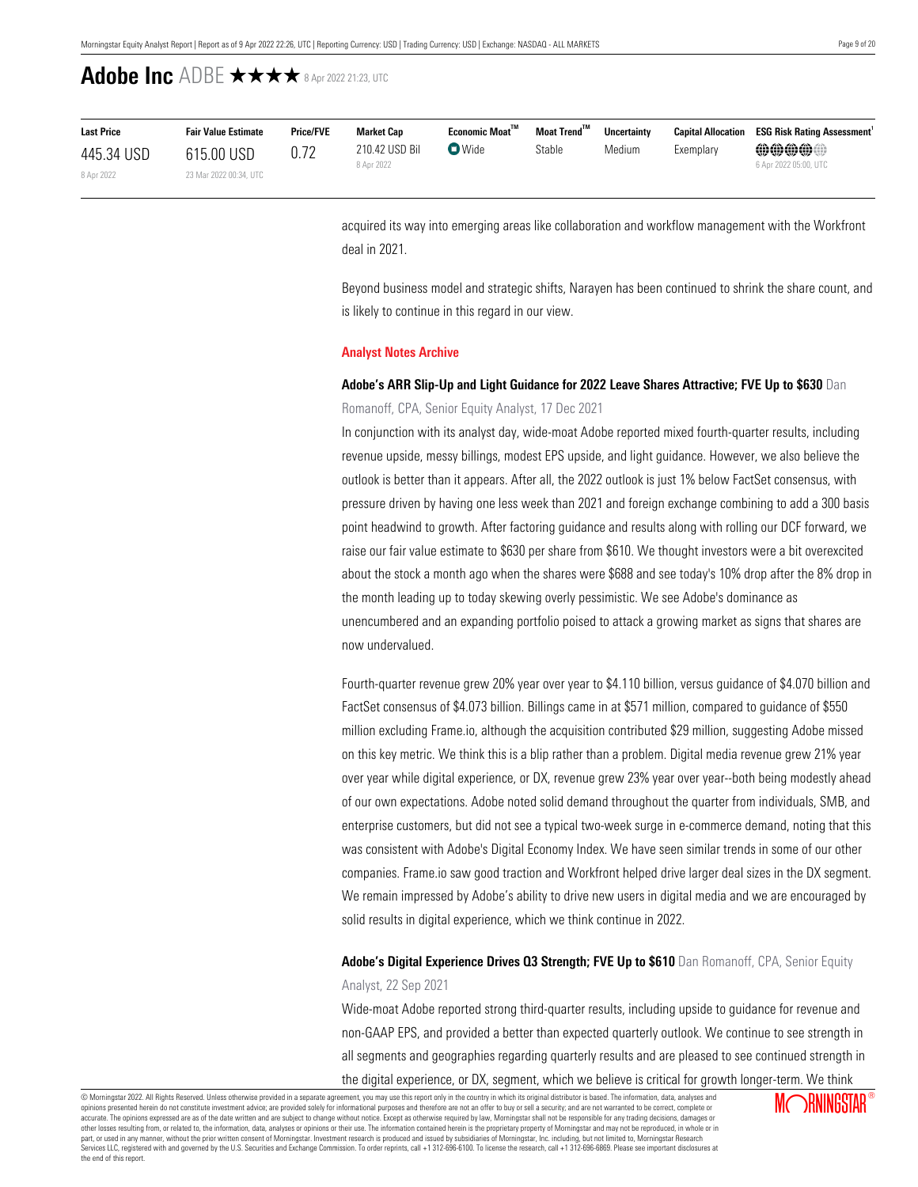| <b>Last Price</b> | <b>Fair Value Estimate</b> | <b>Price/FVE</b> | Market Cap                   | Economic Moat <sup>™</sup> | Moat Trend™ | <b>Uncertainty</b> |           | <b>Capital Allocation ESG Risk Rating Assessment</b> |
|-------------------|----------------------------|------------------|------------------------------|----------------------------|-------------|--------------------|-----------|------------------------------------------------------|
| 445.34 USD        | 615.00 USD                 |                  | 210.42 USD Bil<br>8 Apr 2022 | $\nabla$ Wide              | Stable      | Medium             | Exemplary | @@@@@@<br>6 Apr 2022 05:00, UTC                      |
| 8 Apr 2022        | 23 Mar 2022 00:34, UTC     |                  |                              |                            |             |                    |           |                                                      |

acquired its way into emerging areas like collaboration and workflow management with the Workfront deal in 2021.

Beyond business model and strategic shifts, Narayen has been continued to shrink the share count, and is likely to continue in this regard in our view.

## <span id="page-8-0"></span>**Analyst Notes Archive**

# **Adobe's ARR Slip-Up and Light Guidance for 2022 Leave Shares Attractive; FVE Up to \$630** Dan

## Romanoff, CPA, Senior Equity Analyst, 17 Dec 2021

In conjunction with its analyst day, wide-moat Adobe reported mixed fourth-quarter results, including revenue upside, messy billings, modest EPS upside, and light guidance. However, we also believe the outlook is better than it appears. After all, the 2022 outlook is just 1% below FactSet consensus, with pressure driven by having one less week than 2021 and foreign exchange combining to add a 300 basis point headwind to growth. After factoring guidance and results along with rolling our DCF forward, we raise our fair value estimate to \$630 per share from \$610. We thought investors were a bit overexcited about the stock a month ago when the shares were \$688 and see today's 10% drop after the 8% drop in the month leading up to today skewing overly pessimistic. We see Adobe's dominance as unencumbered and an expanding portfolio poised to attack a growing market as signs that shares are now undervalued.

Fourth-quarter revenue grew 20% year over year to \$4.110 billion, versus guidance of \$4.070 billion and FactSet consensus of \$4.073 billion. Billings came in at \$571 million, compared to guidance of \$550 million excluding Frame.io, although the acquisition contributed \$29 million, suggesting Adobe missed on this key metric. We think this is a blip rather than a problem. Digital media revenue grew 21% year over year while digital experience, or DX, revenue grew 23% year over year--both being modestly ahead of our own expectations. Adobe noted solid demand throughout the quarter from individuals, SMB, and enterprise customers, but did not see a typical two-week surge in e-commerce demand, noting that this was consistent with Adobe's Digital Economy Index. We have seen similar trends in some of our other companies. Frame.io saw good traction and Workfront helped drive larger deal sizes in the DX segment. We remain impressed by Adobe's ability to drive new users in digital media and we are encouraged by solid results in digital experience, which we think continue in 2022.

**Adobe's Digital Experience Drives Q3 Strength; FVE Up to \$610** Dan Romanoff, CPA, Senior Equity Analyst, 22 Sep 2021

Wide-moat Adobe reported strong third-quarter results, including upside to guidance for revenue and non-GAAP EPS, and provided a better than expected quarterly outlook. We continue to see strength in all segments and geographies regarding quarterly results and are pleased to see continued strength in the digital experience, or DX, segment, which we believe is critical for growth longer-term. We think

© Morningstar 2022. All Rights Reserved. Unless otherwise provided in a separate agreement, you may use this report only in the country in which its original distributor is based. The information, data, analyses and opinions presented herein do not constitute investment advice; are provided solely for informational purposes and therefore are not an offer to buy or sell a security; and are not warranted to be correct, complete or accurate. The opinions expressed are as of the date written and are subject to change without notice. Except as otherwise required by law, Morningstar shall not be responsible for any trading decisions, damages or other losses resulting from, or related to, the information, data, analyses or opinions or their use. The information contained herein is the proprietary property of Morningstar and may not be reproduced, in whole or in ou part, or used in any manner, without the prior written consent of Morningstar. Investment research is produced and issued by subsidiaries of Morningstar, Inc. including, but not limited to, Morningstar Research<br>Services LL the end of this report.

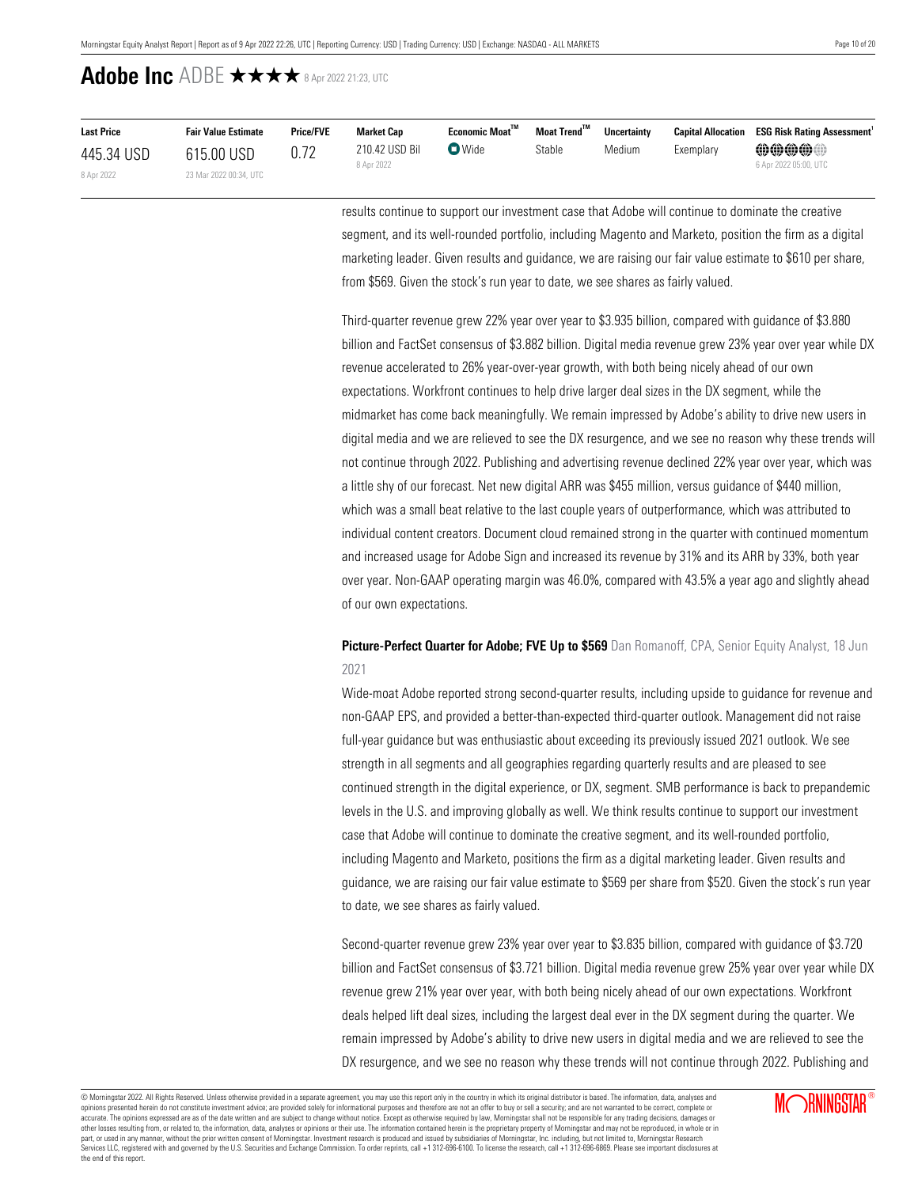| <b>Last Price</b> | <b>Fair Value Estimate</b> | <b>Price/FVE</b> | <b>Market Cap</b>            | $E$ conomic Moat $^{\text{TM}}$ | Moat Trend <sup>™</sup> | Uncertainty |           | <b>Capital Allocation ESG Risk Rating Assessment</b> |
|-------------------|----------------------------|------------------|------------------------------|---------------------------------|-------------------------|-------------|-----------|------------------------------------------------------|
| 445.34 USD        | 615.00 USD                 |                  | 210.42 USD Bil<br>8 Apr 2022 | $\n  Wide\n$                    | Stable                  | Medium      | Exemplary | @@@@@@                                               |
| 8 Apr 2022        | 23 Mar 2022 00:34, UTC     |                  |                              |                                 |                         |             |           | 6 Apr 2022 05:00, UTC                                |

results continue to support our investment case that Adobe will continue to dominate the creative segment, and its well-rounded portfolio, including Magento and Marketo, position the firm as a digital marketing leader. Given results and guidance, we are raising our fair value estimate to \$610 per share, from \$569. Given the stock's run year to date, we see shares as fairly valued.

Third-quarter revenue grew 22% year over year to \$3.935 billion, compared with guidance of \$3.880 billion and FactSet consensus of \$3.882 billion. Digital media revenue grew 23% year over year while DX revenue accelerated to 26% year-over-year growth, with both being nicely ahead of our own expectations. Workfront continues to help drive larger deal sizes in the DX segment, while the midmarket has come back meaningfully. We remain impressed by Adobe's ability to drive new users in digital media and we are relieved to see the DX resurgence, and we see no reason why these trends will not continue through 2022. Publishing and advertising revenue declined 22% year over year, which was a little shy of our forecast. Net new digital ARR was \$455 million, versus guidance of \$440 million, which was a small beat relative to the last couple years of outperformance, which was attributed to individual content creators. Document cloud remained strong in the quarter with continued momentum and increased usage for Adobe Sign and increased its revenue by 31% and its ARR by 33%, both year over year. Non-GAAP operating margin was 46.0%, compared with 43.5% a year ago and slightly ahead of our own expectations.

## **Picture-Perfect Quarter for Adobe; FVE Up to \$569** Dan Romanoff, CPA, Senior Equity Analyst, 18 Jun 2021

Wide-moat Adobe reported strong second-quarter results, including upside to guidance for revenue and non-GAAP EPS, and provided a better-than-expected third-quarter outlook. Management did not raise full-year guidance but was enthusiastic about exceeding its previously issued 2021 outlook. We see strength in all segments and all geographies regarding quarterly results and are pleased to see continued strength in the digital experience, or DX, segment. SMB performance is back to prepandemic levels in the U.S. and improving globally as well. We think results continue to support our investment case that Adobe will continue to dominate the creative segment, and its well-rounded portfolio, including Magento and Marketo, positions the firm as a digital marketing leader. Given results and guidance, we are raising our fair value estimate to \$569 per share from \$520. Given the stock's run year to date, we see shares as fairly valued.

Second-quarter revenue grew 23% year over year to \$3.835 billion, compared with guidance of \$3.720 billion and FactSet consensus of \$3.721 billion. Digital media revenue grew 25% year over year while DX revenue grew 21% year over year, with both being nicely ahead of our own expectations. Workfront deals helped lift deal sizes, including the largest deal ever in the DX segment during the quarter. We remain impressed by Adobe's ability to drive new users in digital media and we are relieved to see the DX resurgence, and we see no reason why these trends will not continue through 2022. Publishing and

© Morningstar 2022. All Rights Reserved. Unless otherwise provided in a separate agreement, you may use this report only in the country in which its original distributor is based. The information, data, analyses and opinions presented herein do not constitute investment advice; are provided solely for informational purposes and therefore are not an offer to buy or sell a security; and are not warranted to be correct, complete or accurate. The opinions expressed are as of the date written and are subject to change without notice. Except as otherwise required by law, Morningstar shall not be responsible for any trading decisions, damages or other losses resulting from, or related to, the information, data, analyses or opinions or their use. The information contained herein is the proprietary property of Morningstar and may not be reproduced, in whole or in part, or used in any manner, without the prior written consent of Morningstar. Investment research is produced and issued by subsidiaries of Morningstar, Inc. including, but not limited to, Morningstar Research<br>Services LL the end of this report.

**MORNINGSTAR®**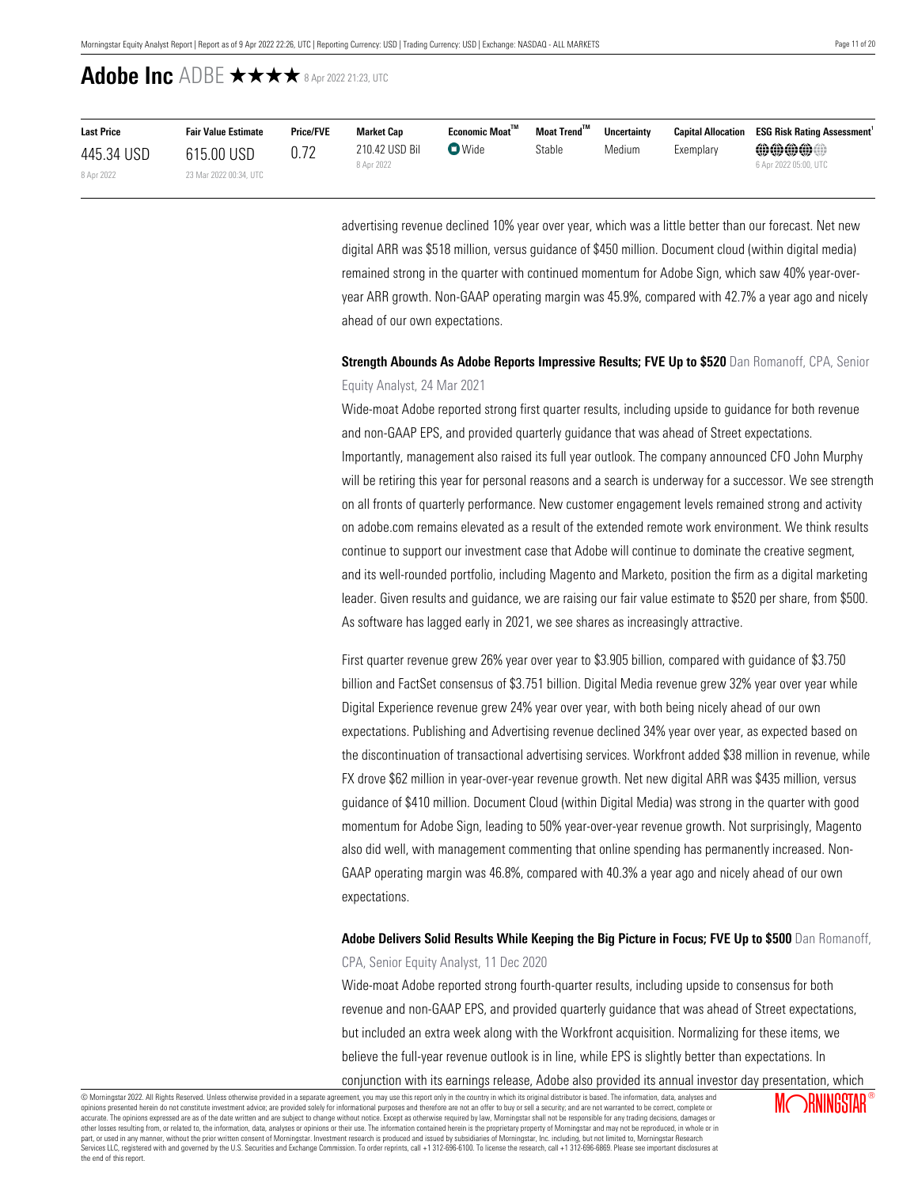| <b>Last Price</b> | <b>Fair Value Estimate</b> | <b>Price/FVE</b> | <b>Market Cap</b>            | Economic Moat <sup>™</sup> | Moat Trend <sup>™</sup> | <b>Uncertainty</b> | <b>Capital Allocation</b> | <b>ESG Risk Rating Assessment</b>                   |
|-------------------|----------------------------|------------------|------------------------------|----------------------------|-------------------------|--------------------|---------------------------|-----------------------------------------------------|
| 445.34 USD        | 615.00 USD                 |                  | 210.42 USD Bil<br>8 Apr 2022 | $\blacksquare$ Wide        | Stable                  | Medium             | Exemplary                 | $\oplus\oplus\oplus\oplus$<br>6 Apr 2022 05:00, UTC |
| 8 Apr 2022        | 23 Mar 2022 00:34, UTC     |                  |                              |                            |                         |                    |                           |                                                     |

advertising revenue declined 10% year over year, which was a little better than our forecast. Net new digital ARR was \$518 million, versus guidance of \$450 million. Document cloud (within digital media) remained strong in the quarter with continued momentum for Adobe Sign, which saw 40% year-overyear ARR growth. Non-GAAP operating margin was 45.9%, compared with 42.7% a year ago and nicely ahead of our own expectations.

## **Strength Abounds As Adobe Reports Impressive Results; FVE Up to \$520** Dan Romanoff, CPA, Senior Equity Analyst, 24 Mar 2021

Wide-moat Adobe reported strong first quarter results, including upside to guidance for both revenue and non-GAAP EPS, and provided quarterly guidance that was ahead of Street expectations. Importantly, management also raised its full year outlook. The company announced CFO John Murphy will be retiring this year for personal reasons and a search is underway for a successor. We see strength on all fronts of quarterly performance. New customer engagement levels remained strong and activity on adobe.com remains elevated as a result of the extended remote work environment. We think results continue to support our investment case that Adobe will continue to dominate the creative segment, and its well-rounded portfolio, including Magento and Marketo, position the firm as a digital marketing leader. Given results and guidance, we are raising our fair value estimate to \$520 per share, from \$500. As software has lagged early in 2021, we see shares as increasingly attractive.

First quarter revenue grew 26% year over year to \$3.905 billion, compared with guidance of \$3.750 billion and FactSet consensus of \$3.751 billion. Digital Media revenue grew 32% year over year while Digital Experience revenue grew 24% year over year, with both being nicely ahead of our own expectations. Publishing and Advertising revenue declined 34% year over year, as expected based on the discontinuation of transactional advertising services. Workfront added \$38 million in revenue, while FX drove \$62 million in year-over-year revenue growth. Net new digital ARR was \$435 million, versus guidance of \$410 million. Document Cloud (within Digital Media) was strong in the quarter with good momentum for Adobe Sign, leading to 50% year-over-year revenue growth. Not surprisingly, Magento also did well, with management commenting that online spending has permanently increased. Non-GAAP operating margin was 46.8%, compared with 40.3% a year ago and nicely ahead of our own expectations.

## **Adobe Delivers Solid Results While Keeping the Big Picture in Focus; FVE Up to \$500** Dan Romanoff, CPA, Senior Equity Analyst, 11 Dec 2020

Wide-moat Adobe reported strong fourth-quarter results, including upside to consensus for both revenue and non-GAAP EPS, and provided quarterly guidance that was ahead of Street expectations, but included an extra week along with the Workfront acquisition. Normalizing for these items, we believe the full-year revenue outlook is in line, while EPS is slightly better than expectations. In

conjunction with its earnings release, Adobe also provided its annual investor day presentation, which

© Morningstar 2022. All Rights Reserved. Unless otherwise provided in a separate agreement, you may use this report only in the country in which its original distributor is based. The information, data, analyses and opinions presented herein do not constitute investment advice; are provided solely for informational purposes and therefore are not an offer to buy or sell a security; and are not warranted to be correct, complete or accurate. The opinions expressed are as of the date written and are subject to change without notice. Except as otherwise required by law, Morningstar shall not be responsible for any trading decisions, damages or other losses resulting from, or related to, the information, data, analyses or opinions or their use. The information contained herein is the proprietary property of Morningstar and may not be reproduced, in whole or in ou part, or used in any manner, without the prior written consent of Morningstar. Investment research is produced and issued by subsidiaries of Morningstar, Inc. including, but not limited to, Morningstar Research<br>Services LL the end of this report.

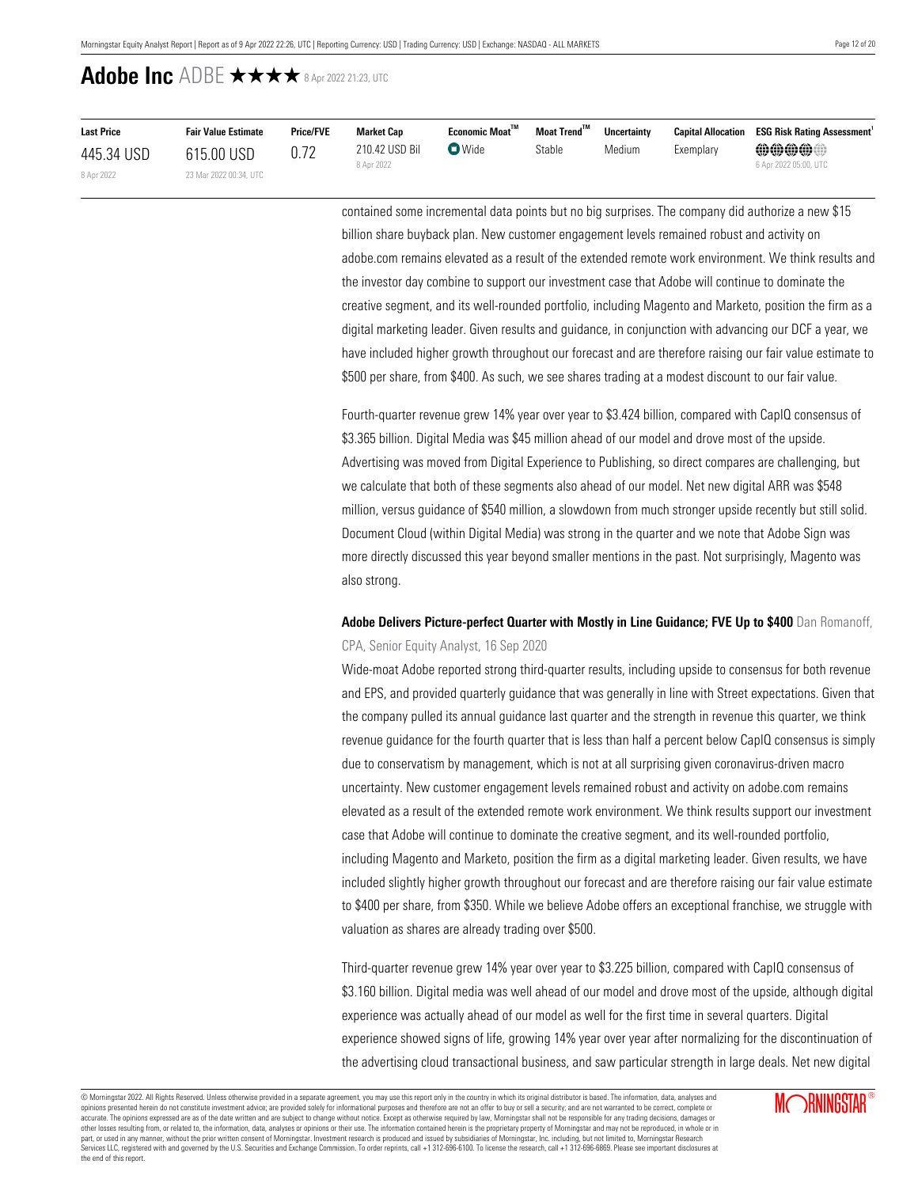| <b>Last Price</b> | <b>Fair Value Estimate</b> | <b>Price/FVE</b> | <b>Market Cap</b> | $E$ conomic Moat $^{\text{TM}}$ | Moat Trend™ | Uncertainty | <b>Capital Allocation</b> | <b>ESG Risk Rating Assessment</b> |
|-------------------|----------------------------|------------------|-------------------|---------------------------------|-------------|-------------|---------------------------|-----------------------------------|
| 445.34 USD        | 615.00 USD                 | 0.72             | 210.42 USD Bil    | $\bullet$ Wide                  | Stable      | Medium      | Exemplary                 | @@@@@@                            |
| 8 Apr 2022        | 23 Mar 2022 00:34, UTC     |                  | 8 Apr 2022        |                                 |             |             |                           | 6 Apr 2022 05:00, UTC             |

contained some incremental data points but no big surprises. The company did authorize a new \$15 billion share buyback plan. New customer engagement levels remained robust and activity on adobe.com remains elevated as a result of the extended remote work environment. We think results and the investor day combine to support our investment case that Adobe will continue to dominate the creative segment, and its well-rounded portfolio, including Magento and Marketo, position the firm as a digital marketing leader. Given results and guidance, in conjunction with advancing our DCF a year, we have included higher growth throughout our forecast and are therefore raising our fair value estimate to \$500 per share, from \$400. As such, we see shares trading at a modest discount to our fair value.

Fourth-quarter revenue grew 14% year over year to \$3.424 billion, compared with CapIQ consensus of \$3.365 billion. Digital Media was \$45 million ahead of our model and drove most of the upside. Advertising was moved from Digital Experience to Publishing, so direct compares are challenging, but we calculate that both of these segments also ahead of our model. Net new digital ARR was \$548 million, versus guidance of \$540 million, a slowdown from much stronger upside recently but still solid. Document Cloud (within Digital Media) was strong in the quarter and we note that Adobe Sign was more directly discussed this year beyond smaller mentions in the past. Not surprisingly, Magento was also strong.

## **Adobe Delivers Picture-perfect Quarter with Mostly in Line Guidance; FVE Up to \$400** Dan Romanoff, CPA, Senior Equity Analyst, 16 Sep 2020

Wide-moat Adobe reported strong third-quarter results, including upside to consensus for both revenue and EPS, and provided quarterly guidance that was generally in line with Street expectations. Given that the company pulled its annual guidance last quarter and the strength in revenue this quarter, we think revenue guidance for the fourth quarter that is less than half a percent below CapIQ consensus is simply due to conservatism by management, which is not at all surprising given coronavirus-driven macro uncertainty. New customer engagement levels remained robust and activity on adobe.com remains elevated as a result of the extended remote work environment. We think results support our investment case that Adobe will continue to dominate the creative segment, and its well-rounded portfolio, including Magento and Marketo, position the firm as a digital marketing leader. Given results, we have included slightly higher growth throughout our forecast and are therefore raising our fair value estimate to \$400 per share, from \$350. While we believe Adobe offers an exceptional franchise, we struggle with valuation as shares are already trading over \$500.

Third-quarter revenue grew 14% year over year to \$3.225 billion, compared with CapIQ consensus of \$3.160 billion. Digital media was well ahead of our model and drove most of the upside, although digital experience was actually ahead of our model as well for the first time in several quarters. Digital experience showed signs of life, growing 14% year over year after normalizing for the discontinuation of the advertising cloud transactional business, and saw particular strength in large deals. Net new digital

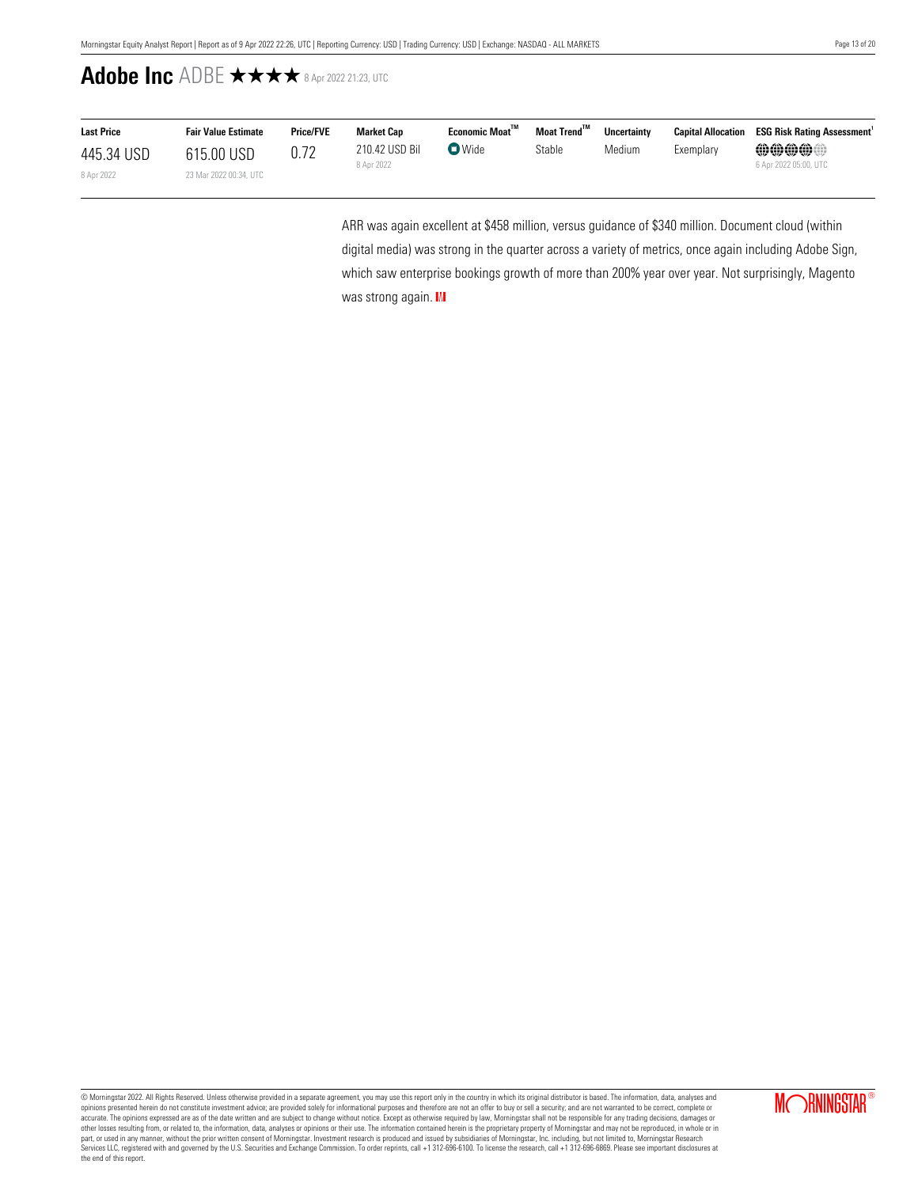| <b>Last Price</b> | <b>Fair Value Estimate</b> | <b>Price/FVE</b> | Market Cap                   | <b>Economic Moat"</b> | Moat Trend <sup>™</sup> | <b>Uncertainty</b> |           | <b>Capital Allocation ESG Risk Rating Assessment</b> |
|-------------------|----------------------------|------------------|------------------------------|-----------------------|-------------------------|--------------------|-----------|------------------------------------------------------|
| 445.34 USD        | 615.00 USD                 | 0.72             | 210.42 USD Bil<br>8 Apr 2022 | $\bullet$ Wide        | Stable                  | Medium             | Exemplary | $\oplus\oplus\oplus\oplus$                           |
| 8 Apr 2022        | 23 Mar 2022 00:34, UTC     |                  |                              |                       |                         |                    |           | 6 Apr 2022 05:00, UTC                                |

ARR was again excellent at \$458 million, versus guidance of \$340 million. Document cloud (within digital media) was strong in the quarter across a variety of metrics, once again including Adobe Sign, which saw enterprise bookings growth of more than 200% year over year. Not surprisingly, Magento was strong again. III

© Morningstar 2022. All Rights Reserved. Unless otherwise provided in a separate agreement, you may use this report only in the country in which its original distributor is based. The information, data, analyses and<br>opinio accurate. The opinions expressed are as of the date written and are subject to change without notice. Except as otherwise required by law, Morningstar shall not be responsible for any trading decisions, damages or<br>other lo part, or used in any manner, without the prior written consent of Morningstar. Investment research is produced and issued by subsidiaries of Morningstar, Inc. including, but not limited to, Morningstar Research<br>Services LL the end of this report.

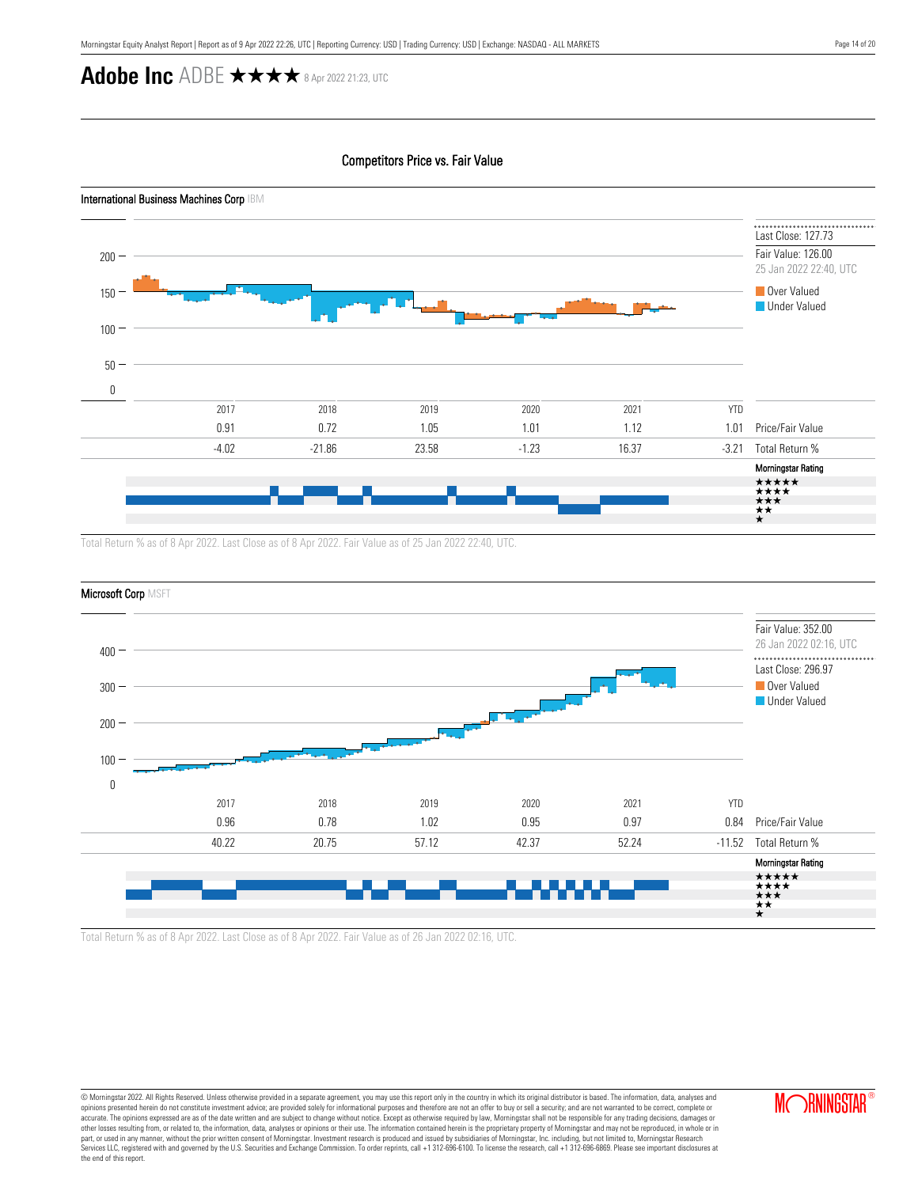## Competitors Price vs. Fair Value



Total Return % as of 8 Apr 2022. Last Close as of 8 Apr 2022. Fair Value as of 25 Jan 2022 22:40, UTC.



Total Return % as of 8 Apr 2022. Last Close as of 8 Apr 2022. Fair Value as of 26 Jan 2022 02:16, UTC.

© Morningstar 2022. All Rights Reserved. Unless otherwise provided in a separate agreement, you may use this report only in the country in which its original distributor is based. The information, data, analyses and opinions presented herein do not constitute investment advice; are provided solely for informational purposes and therefore are not an offer to buy or sell a security; and are not warranted to be correct, complete or accurate. The opinions expressed are as of the date written and are subject to change without notice. Except as otherwise required by law, Morningstar shall not be responsible for any trading decisions, damages or<br>other lo part, or used in any manner, without the prior written consent of Morningstar. Investment research is produced and issued by subsidiaries of Morningstar, Inc. including, but not limited to, Morningstar Research<br>Services LL the end of this report.

**MORNINGSTAR**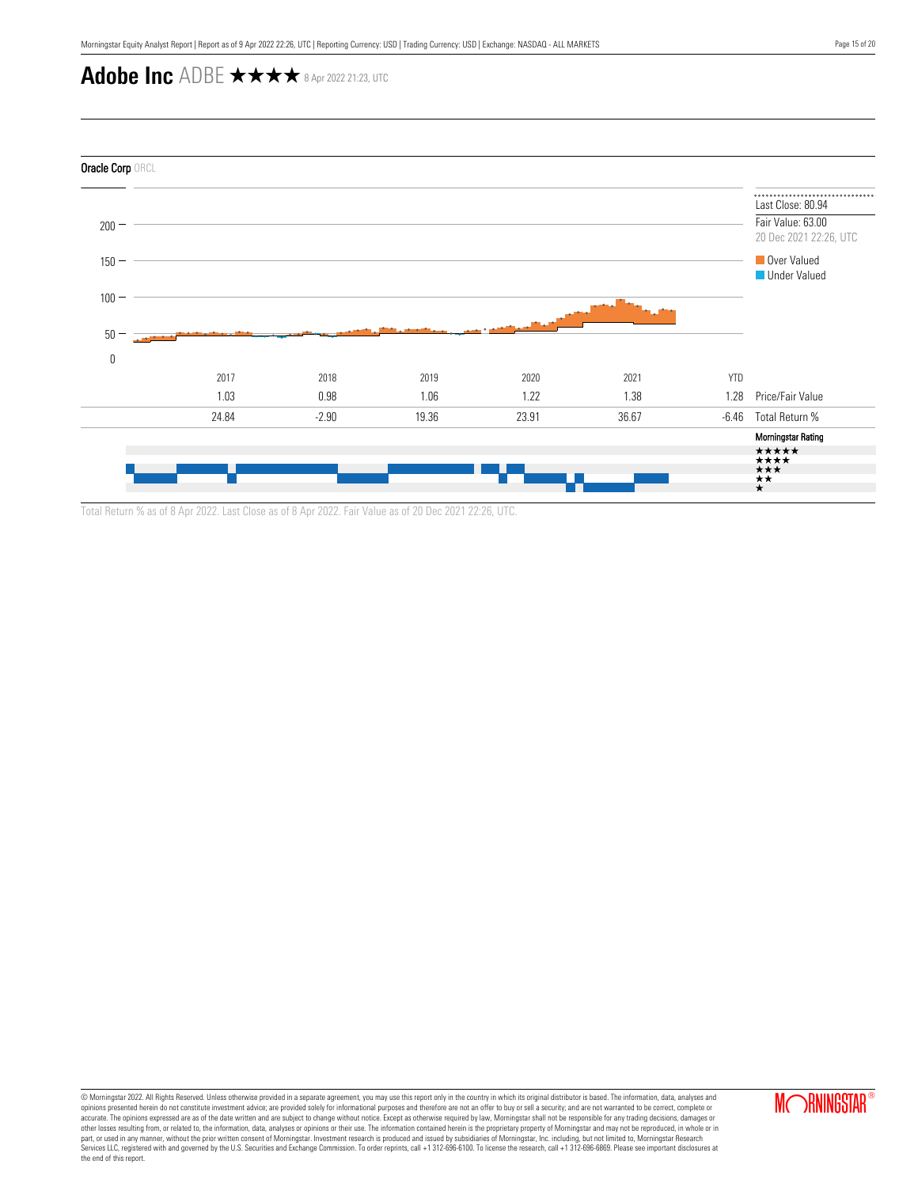

Total Return % as of 8 Apr 2022. Last Close as of 8 Apr 2022. Fair Value as of 20 Dec 2021 22:26, UTC.

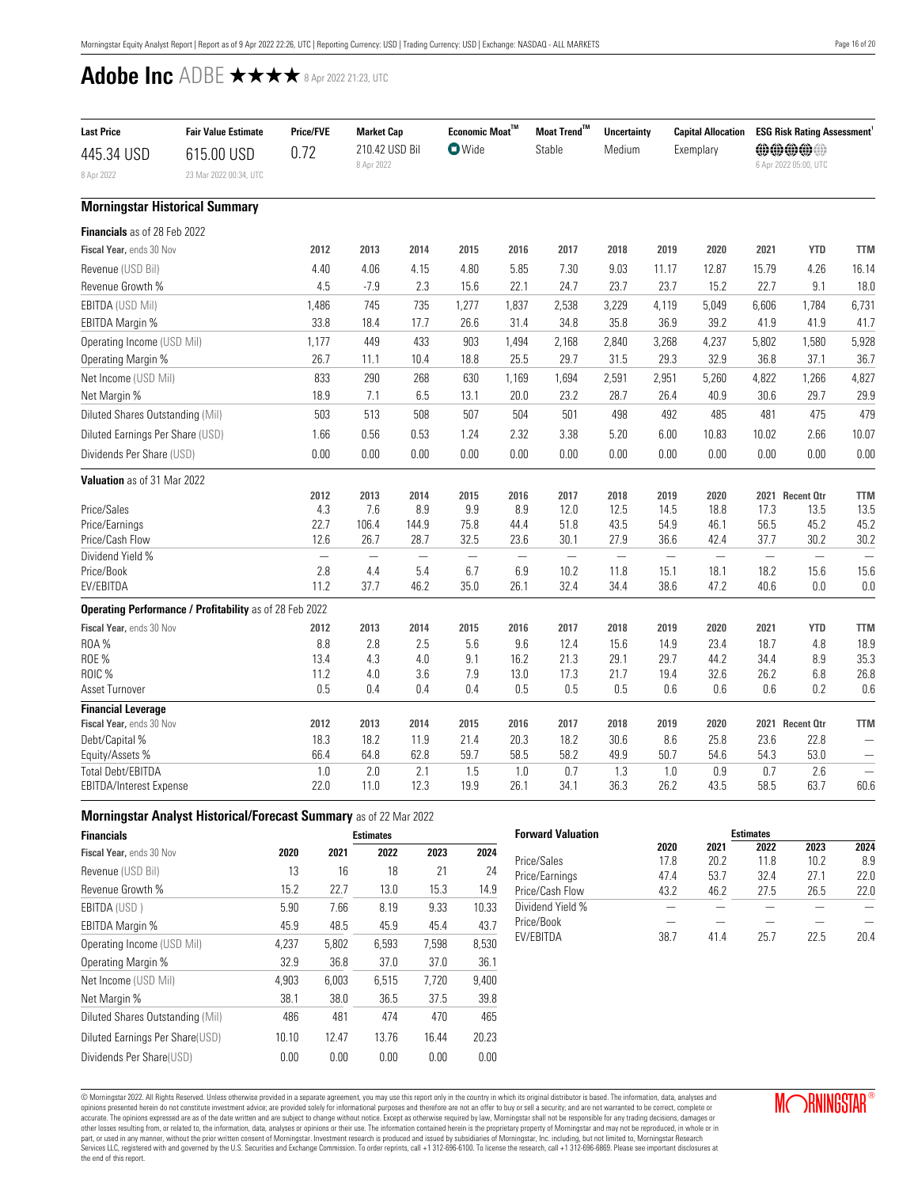<span id="page-15-0"></span>

| <b>Last Price</b>                | <b>Fair Value Estimate</b>                              | <b>Price/FVE</b> | <b>Market Cap</b>               |                                 | Economic Moat $^{\text{TM}}$    |                                 | Moat Trend™<br><b>Uncertainty</b> |                                  | <b>Capital Allocation</b> |                                  | <b>ESG Risk Rating Assessment</b> |                                |                          |
|----------------------------------|---------------------------------------------------------|------------------|---------------------------------|---------------------------------|---------------------------------|---------------------------------|-----------------------------------|----------------------------------|---------------------------|----------------------------------|-----------------------------------|--------------------------------|--------------------------|
| 445.34 USD<br>8 Apr 2022         | 615.00 USD<br>23 Mar 2022 00:34, UTC                    | 0.72             | 210.42 USD Bil<br>8 Apr 2022    |                                 | <b>O</b> Wide                   |                                 | Stable                            | Medium                           |                           | Exemplary                        |                                   | @@@@@<br>6 Apr 2022 05:00, UTC |                          |
|                                  | <b>Morningstar Historical Summary</b>                   |                  |                                 |                                 |                                 |                                 |                                   |                                  |                           |                                  |                                   |                                |                          |
| Financials as of 28 Feb 2022     |                                                         |                  |                                 |                                 |                                 |                                 |                                   |                                  |                           |                                  |                                   |                                |                          |
| Fiscal Year, ends 30 Nov         |                                                         | 2012             | 2013                            | 2014                            | 2015                            | 2016                            | 2017                              | 2018                             | 2019                      | 2020                             | 2021                              | <b>YTD</b>                     | <b>TTM</b>               |
| Revenue (USD Bil)                |                                                         | 4.40             | 4.06                            | 4.15                            | 4.80                            | 5.85                            | 7.30                              | 9.03                             | 11.17                     | 12.87                            | 15.79                             | 4.26                           | 16.14                    |
| Revenue Growth %                 |                                                         | 4.5              | $-7.9$                          | 2.3                             | 15.6                            | 22.1                            | 24.7                              | 23.7                             | 23.7                      | 15.2                             | 22.7                              | 9.1                            | 18.0                     |
| <b>EBITDA (USD Mil)</b>          |                                                         | 1,486            | 745                             | 735                             | 1,277                           | 1,837                           | 2,538                             | 3,229                            | 4,119                     | 5,049                            | 6,606                             | 1,784                          | 6,731                    |
| <b>EBITDA Margin %</b>           |                                                         | 33.8             | 18.4                            | 17.7                            | 26.6                            | 31.4                            | 34.8                              | 35.8                             | 36.9                      | 39.2                             | 41.9                              | 41.9                           | 41.7                     |
| Operating Income (USD Mil)       |                                                         | 1,177            | 449                             | 433                             | 903                             | 1,494                           | 2,168                             | 2,840                            | 3,268                     | 4,237                            | 5,802                             | 1,580                          | 5,928                    |
| Operating Margin %               |                                                         | 26.7             | 11.1                            | 10.4                            | 18.8                            | 25.5                            | 29.7                              | 31.5                             | 29.3                      | 32.9                             | 36.8                              | 37.1                           | 36.7                     |
| Net Income (USD Mil)             |                                                         | 833              | 290                             | 268                             | 630                             | 1,169                           | 1,694                             | 2,591                            | 2,951                     | 5,260                            | 4,822                             | 1,266                          | 4,827                    |
| Net Margin %                     |                                                         | 18.9             | 7.1                             | 6.5                             | 13.1                            | 20.0                            | 23.2                              | 28.7                             | 26.4                      | 40.9                             | 30.6                              | 29.7                           | 29.9                     |
| Diluted Shares Outstanding (Mil) |                                                         | 503              | 513                             | 508                             | 507                             | 504                             | 501                               | 498                              | 492                       | 485                              | 481                               | 475                            | 479                      |
| Diluted Earnings Per Share (USD) |                                                         | 1.66             | 0.56                            | 0.53                            | 1.24                            | 2.32                            | 3.38                              | 5.20                             | 6.00                      | 10.83                            | 10.02                             | 2.66                           | 10.07                    |
| Dividends Per Share (USD)        |                                                         | 0.00             | 0.00                            | 0.00                            | 0.00                            | 0.00                            | 0.00                              | 0.00                             | 0.00                      | 0.00                             | 0.00                              | 0.00                           | 0.00                     |
| Valuation as of 31 Mar 2022      |                                                         |                  |                                 |                                 |                                 |                                 |                                   |                                  |                           |                                  |                                   |                                |                          |
|                                  |                                                         | 2012             | 2013                            | 2014                            | 2015                            | 2016                            | 2017                              | 2018                             | 2019                      | 2020                             |                                   | 2021 Recent Otr                | <b>TTM</b>               |
| Price/Sales                      |                                                         | 4.3              | 7.6                             | $8.9\,$                         | $9.9\,$                         | 8.9                             | 12.0                              | 12.5                             | 14.5                      | 18.8                             | 17.3                              | 13.5                           | 13.5                     |
| Price/Earnings                   |                                                         | 22.7             | 106.4                           | 144.9                           | 75.8                            | 44.4                            | 51.8                              | 43.5                             | 54.9                      | 46.1                             | 56.5                              | 45.2                           | 45.2                     |
| Price/Cash Flow                  |                                                         | 12.6             | 26.7                            | 28.7                            | 32.5                            | 23.6                            | 30.1                              | 27.9                             | 36.6                      | 42.4                             | 37.7                              | 30.2                           | 30.2                     |
| Dividend Yield %<br>Price/Book   |                                                         | 2.8              | $\overline{\phantom{0}}$<br>4.4 | $\overline{\phantom{0}}$<br>5.4 | $\overline{\phantom{0}}$<br>6.7 | $\overline{\phantom{0}}$<br>6.9 | $\overline{\phantom{0}}$<br>10.2  | $\overline{\phantom{0}}$<br>11.8 | 15.1                      | $\overline{\phantom{0}}$<br>18.1 | 18.2                              | 15.6                           | 15.6                     |
| EV/EBITDA                        |                                                         | 11.2             | 37.7                            | 46.2                            | 35.0                            | 26.1                            | 32.4                              | 34.4                             | 38.6                      | 47.2                             | 40.6                              | 0.0                            | $0.0\,$                  |
|                                  | Operating Performance / Profitability as of 28 Feb 2022 |                  |                                 |                                 |                                 |                                 |                                   |                                  |                           |                                  |                                   |                                |                          |
| Fiscal Year, ends 30 Nov         |                                                         | 2012             | 2013                            | 2014                            | 2015                            | 2016                            | 2017                              | 2018                             | 2019                      | 2020                             | 2021                              | <b>YTD</b>                     | <b>TTM</b>               |
| <b>ROA%</b>                      |                                                         | 8.8              | 2.8                             | 2.5                             | 5.6                             | 9.6                             | 12.4                              | 15.6                             | 14.9                      | 23.4                             | 18.7                              | 4.8                            | 18.9                     |
| ROE%                             |                                                         | 13.4             | 4.3                             | 4.0                             | 9.1                             | 16.2                            | 21.3                              | 29.1                             | 29.7                      | 44.2                             | 34.4                              | 8.9                            | 35.3                     |
| ROIC %                           |                                                         | 11.2             | 4.0                             | 3.6                             | 7.9                             | 13.0                            | 17.3                              | 21.7                             | 19.4                      | 32.6                             | 26.2                              | 6.8                            | 26.8                     |
| Asset Turnover                   |                                                         | 0.5              | 0.4                             | 0.4                             | 0.4                             | 0.5                             | 0.5                               | 0.5                              | 0.6                       | 0.6                              | 0.6                               | 0.2                            | 0.6                      |
| <b>Financial Leverage</b>        |                                                         |                  |                                 |                                 |                                 |                                 |                                   |                                  |                           |                                  |                                   |                                |                          |
| Fiscal Year, ends 30 Nov         |                                                         | 2012             | 2013                            | 2014                            | 2015                            | 2016                            | 2017                              | 2018                             | 2019                      | 2020                             |                                   | 2021 Recent Otr                | <b>TTM</b>               |
| Debt/Capital %                   |                                                         | 18.3             | 18.2                            | 11.9                            | 21.4                            | 20.3                            | 18.2                              | 30.6                             | 8.6                       | 25.8                             | 23.6                              | 22.8                           |                          |
| Equity/Assets %                  |                                                         | 66.4             | 64.8                            | 62.8                            | 59.7                            | 58.5                            | 58.2                              | 49.9                             | 50.7                      | 54.6                             | 54.3                              | 53.0                           | $\overline{\phantom{0}}$ |
| <b>Total Debt/EBITDA</b>         |                                                         | 1.0              | 2.0                             | 2.1                             | 1.5                             | 1.0                             | 0.7                               | 1.3                              | 1.0                       | 0.9                              | 0.7                               | 2.6                            |                          |
| EBITDA/Interest Expense          |                                                         | 22.0             | 11.0                            | 12.3                            | 19.9                            | 26.1                            | 34.1                              | 36.3                             | 26.2                      | 43.5                             | 58.5                              | 63.7                           | 60.6                     |

| <b>Morningstar Analyst Historical/Forecast Summary</b> as of 22 Mar 2022 |  |
|--------------------------------------------------------------------------|--|
|--------------------------------------------------------------------------|--|

| <b>Financials</b>                |       |       | <b>Estimates</b> |       |       |
|----------------------------------|-------|-------|------------------|-------|-------|
| Fiscal Year, ends 30 Nov         | 2020  | 2021  | 2022             | 2023  | 2024  |
| Revenue (USD Bil)                | 13    | 16    | 18               | 21    | 24    |
| Revenue Growth %                 | 15.2  | 22.7  | 13.0             | 15.3  | 14.9  |
| EBITDA (USD)                     | 5.90  | 7.66  | 8.19             | 9.33  | 10.33 |
| EBITDA Margin %                  | 45.9  | 48.5  | 45.9             | 45.4  | 43.7  |
| Operating Income (USD Mil)       | 4.237 | 5.802 | 6,593            | 7,598 | 8,530 |
| Operating Margin %               | 32.9  | 36.8  | 37.0             | 37.0  | 36.1  |
| Net Income (USD Mil)             | 4.903 | 6.003 | 6.515            | 7.720 | 9,400 |
| Net Margin %                     | 38.1  | 38.0  | 36.5             | 37.5  | 39.8  |
| Diluted Shares Outstanding (Mil) | 486   | 481   | 474              | 470   | 465   |
| Diluted Earnings Per Share(USD)  | 10.10 | 12.47 | 13.76            | 16.44 | 20.23 |
| Dividends Per Share(USD)         | 0.00  | 0.00  | 0.00             | 0.00  | 0.00  |

| <b>Forward Valuation</b> | <b>Estimates</b> |      |      |      |      |  |  |
|--------------------------|------------------|------|------|------|------|--|--|
|                          | 2020             | 2021 | 2022 | 2023 | 2024 |  |  |
| Price/Sales              | 17.8             | 20.2 | 11.8 | 10.2 | 8.9  |  |  |
| Price/Earnings           | 474              | 53.7 | 324  | 271  | 22.0 |  |  |
| Price/Cash Flow          | 43.2             | 46.2 | 27.5 | 26.5 | 22.0 |  |  |
| Dividend Yield %         |                  |      |      |      |      |  |  |
| Price/Book               |                  |      |      |      |      |  |  |
| <b>FV/FBITDA</b>         | 38 7             | 414  | 25 7 | 22 5 | 20 4 |  |  |

@ Morningstar 2022. All Rights Reserved. Unless otherwise provided in a separate agreement, you may use this report only in the country in which its original distributor is based. The information, data, analyses and devent the end of this report.

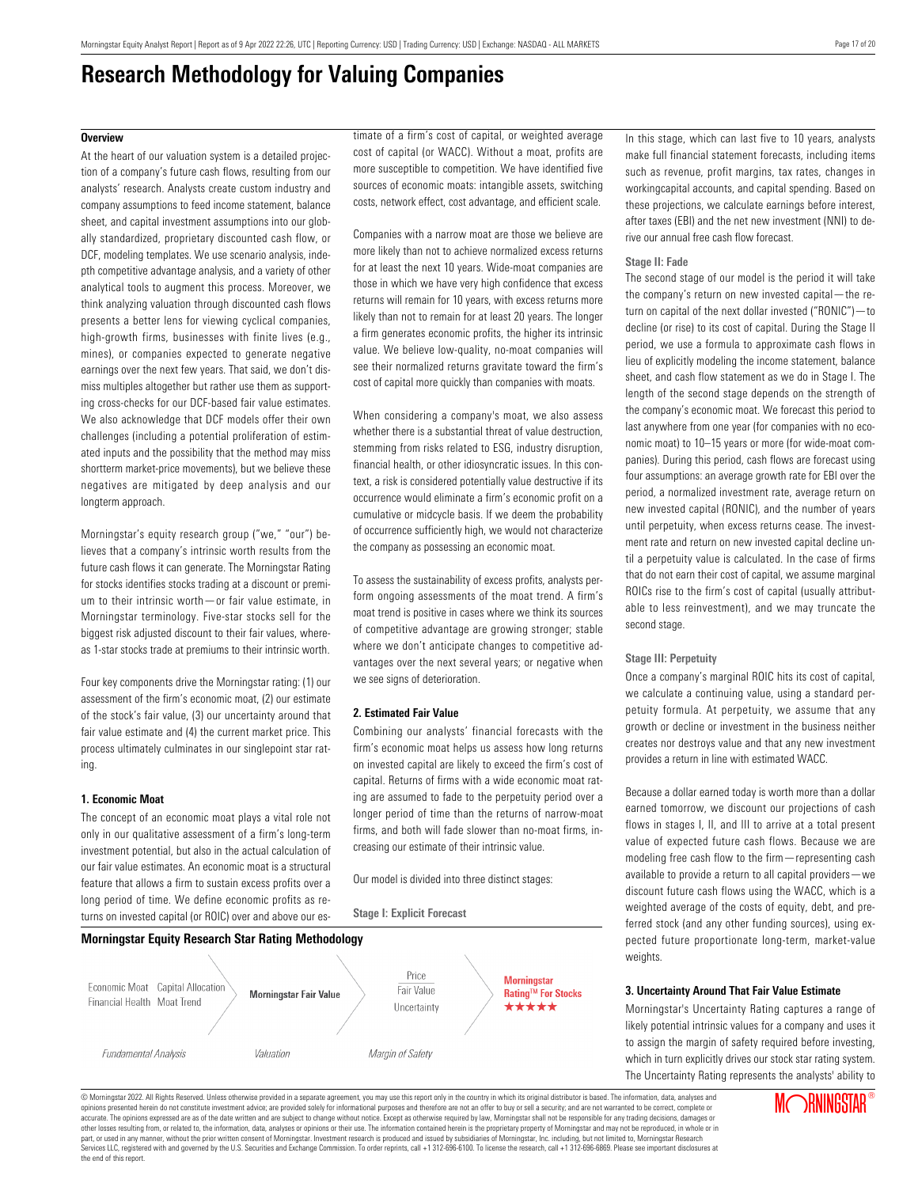## <span id="page-16-0"></span>**Overview**

At the heart of our valuation system is a detailed projection of a company's future cash flows, resulting from our analysts' research. Analysts create custom industry and company assumptions to feed income statement, balance sheet, and capital investment assumptions into our globally standardized, proprietary discounted cash flow, or DCF, modeling templates. We use scenario analysis, indepth competitive advantage analysis, and a variety of other analytical tools to augment this process. Moreover, we think analyzing valuation through discounted cash flows presents a better lens for viewing cyclical companies, high-growth firms, businesses with finite lives (e.g., mines), or companies expected to generate negative earnings over the next few years. That said, we don't dismiss multiples altogether but rather use them as supporting cross-checks for our DCF-based fair value estimates. We also acknowledge that DCF models offer their own challenges (including a potential proliferation of estimated inputs and the possibility that the method may miss shortterm market-price movements), but we believe these negatives are mitigated by deep analysis and our longterm approach.

Morningstar's equity research group ("we," "our") believes that a company's intrinsic worth results from the future cash flows it can generate. The Morningstar Rating for stocks identifies stocks trading at a discount or premium to their intrinsic worth—or fair value estimate, in Morningstar terminology. Five-star stocks sell for the biggest risk adjusted discount to their fair values, whereas 1-star stocks trade at premiums to their intrinsic worth.

Four key components drive the Morningstar rating: (1) our assessment of the firm's economic moat, (2) our estimate of the stock's fair value, (3) our uncertainty around that fair value estimate and (4) the current market price. This process ultimately culminates in our singlepoint star rating.

### **1. Economic Moat**

The concept of an economic moat plays a vital role not only in our qualitative assessment of a firm's long-term investment potential, but also in the actual calculation of our fair value estimates. An economic moat is a structural feature that allows a firm to sustain excess profits over a long period of time. We define economic profits as returns on invested capital (or ROIC) over and above our estimate of a firm's cost of capital, or weighted average cost of capital (or WACC). Without a moat, profits are more susceptible to competition. We have identified five sources of economic moats: intangible assets, switching costs, network effect, cost advantage, and efficient scale.

Companies with a narrow moat are those we believe are more likely than not to achieve normalized excess returns for at least the next 10 years. Wide-moat companies are those in which we have very high confidence that excess returns will remain for 10 years, with excess returns more likely than not to remain for at least 20 years. The longer a firm generates economic profits, the higher its intrinsic value. We believe low-quality, no-moat companies will see their normalized returns gravitate toward the firm's cost of capital more quickly than companies with moats.

When considering a company's moat, we also assess whether there is a substantial threat of value destruction, stemming from risks related to ESG, industry disruption, financial health, or other idiosyncratic issues. In this context, a risk is considered potentially value destructive if its occurrence would eliminate a firm's economic profit on a cumulative or midcycle basis. If we deem the probability of occurrence sufficiently high, we would not characterize the company as possessing an economic moat.

To assess the sustainability of excess profits, analysts perform ongoing assessments of the moat trend. A firm's moat trend is positive in cases where we think its sources of competitive advantage are growing stronger; stable where we don't anticipate changes to competitive advantages over the next several years; or negative when we see signs of deterioration.

### **2. Estimated Fair Value**

**Stage I: Explicit Forecast**

Combining our analysts' financial forecasts with the firm's economic moat helps us assess how long returns on invested capital are likely to exceed the firm's cost of capital. Returns of firms with a wide economic moat rating are assumed to fade to the perpetuity period over a longer period of time than the returns of narrow-moat firms, and both will fade slower than no-moat firms, increasing our estimate of their intrinsic value.

Our model is divided into three distinct stages:



In this stage, which can last five to 10 years, analysts make full financial statement forecasts, including items such as revenue, profit margins, tax rates, changes in workingcapital accounts, and capital spending. Based on these projections, we calculate earnings before interest, after taxes (EBI) and the net new investment (NNI) to derive our annual free cash flow forecast.

### **Stage II: Fade**

The second stage of our model is the period it will take the company's return on new invested capital—the return on capital of the next dollar invested ("RONIC")—to decline (or rise) to its cost of capital. During the Stage II period, we use a formula to approximate cash flows in lieu of explicitly modeling the income statement, balance sheet, and cash flow statement as we do in Stage I. The length of the second stage depends on the strength of the company's economic moat. We forecast this period to last anywhere from one year (for companies with no economic moat) to 10–15 years or more (for wide-moat companies). During this period, cash flows are forecast using four assumptions: an average growth rate for EBI over the period, a normalized investment rate, average return on new invested capital (RONIC), and the number of years until perpetuity, when excess returns cease. The investment rate and return on new invested capital decline until a perpetuity value is calculated. In the case of firms that do not earn their cost of capital, we assume marginal ROICs rise to the firm's cost of capital (usually attributable to less reinvestment), and we may truncate the second stage.

#### **Stage III: Perpetuity**

Once a company's marginal ROIC hits its cost of capital, we calculate a continuing value, using a standard perpetuity formula. At perpetuity, we assume that any growth or decline or investment in the business neither creates nor destroys value and that any new investment provides a return in line with estimated WACC.

Because a dollar earned today is worth more than a dollar earned tomorrow, we discount our projections of cash flows in stages I, II, and III to arrive at a total present value of expected future cash flows. Because we are modeling free cash flow to the firm—representing cash available to provide a return to all capital providers—we discount future cash flows using the WACC, which is a weighted average of the costs of equity, debt, and preferred stock (and any other funding sources), using expected future proportionate long-term, market-value weights.

#### **3. Uncertainty Around That Fair Value Estimate**

Morningstar's Uncertainty Rating captures a range of likely potential intrinsic values for a company and uses it to assign the margin of safety required before investing, which in turn explicitly drives our stock star rating system. The Uncertainty Rating represents the analysts' ability to

© Morningstar 2022. All Rights Reserved. Unless otherwise provided in a separate agreement, you may use this report only in the country in which its original distributor is based. The information, data, analyses and opinions presented herein do not constitute investment advice; are provided solely for informational purposes and therefore are not an offer to buy or sell a security; and are not warranted to be correct, complete or accurate. The opinions expressed are as of the date written and are subject to change without notice. Except as otherwise required by law, Morningstar shall not be responsible for any trading decisions, damages or other losses resulting from, or related to, the information, data, analyses or opinions or their use. The information contained herein is the proprietary property of Morningstar and may not be reproduced, in whole or in part, or used in any manner, without the prior written consent of Morningstar. Investment research is produced and issued by subsidiaries of Morningstar, Inc. including, but not limited to, Morningstar Research<br>Services LL the end of this report.

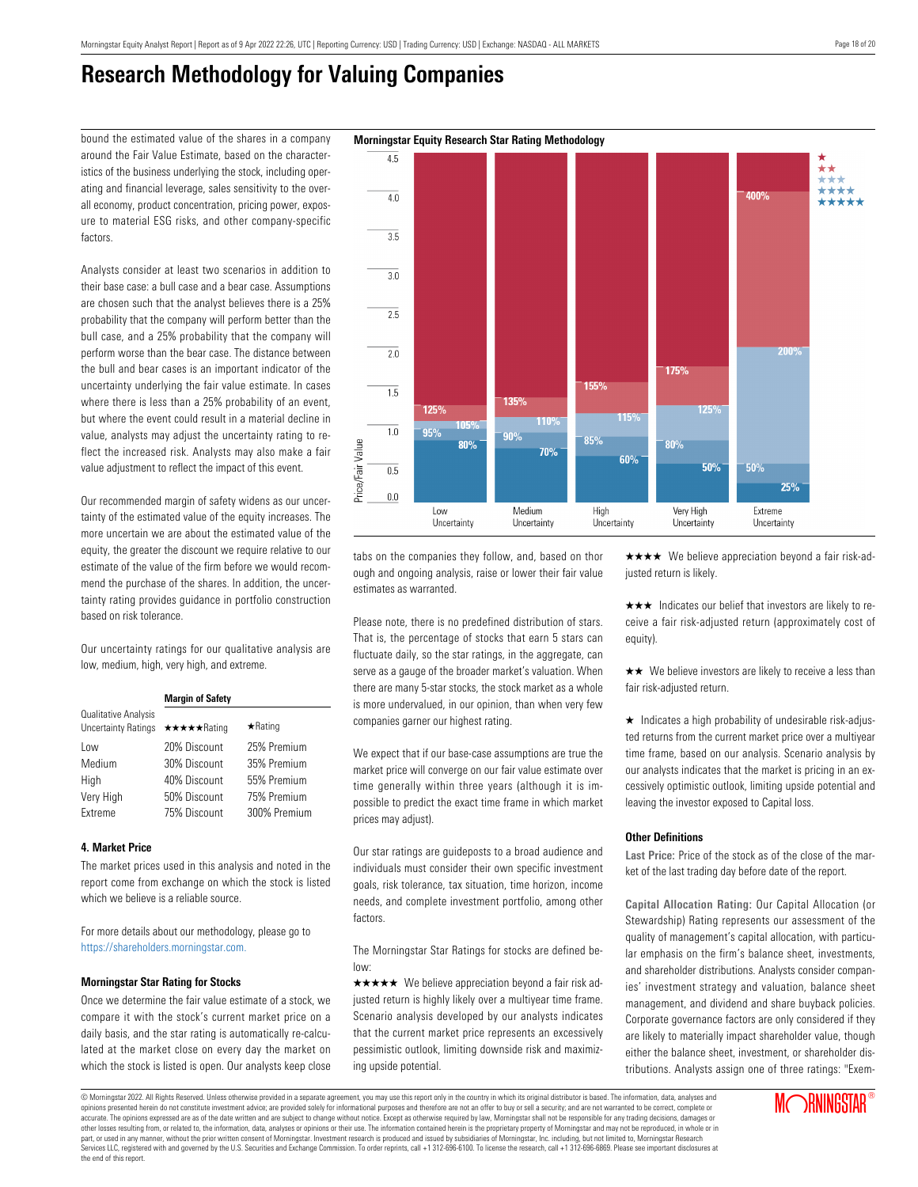around the Fair Value Estimate, based on the characteristics of the business underlying the stock, including operating and financial leverage, sales sensitivity to the overall economy, product concentration, pricing power, exposure to material ESG risks, and other company-specific factors.

Analysts consider at least two scenarios in addition to their base case: a bull case and a bear case. Assumptions are chosen such that the analyst believes there is a 25% probability that the company will perform better than the bull case, and a 25% probability that the company will perform worse than the bear case. The distance between the bull and bear cases is an important indicator of the uncertainty underlying the fair value estimate. In cases where there is less than a 25% probability of an event, but where the event could result in a material decline in value, analysts may adjust the uncertainty rating to reflect the increased risk. Analysts may also make a fair value adjustment to reflect the impact of this event.

Our recommended margin of safety widens as our uncertainty of the estimated value of the equity increases. The more uncertain we are about the estimated value of the equity, the greater the discount we require relative to our estimate of the value of the firm before we would recommend the purchase of the shares. In addition, the uncertainty rating provides guidance in portfolio construction based on risk tolerance.

Our uncertainty ratings for our qualitative analysis are low, medium, high, very high, and extreme.

|                                                    | <b>Margin of Safety</b> |                |  |  |  |  |
|----------------------------------------------------|-------------------------|----------------|--|--|--|--|
| Qualitative Analysis<br><b>Uncertainty Ratings</b> | ★★★★★Rating             | $\star$ Rating |  |  |  |  |
| Low                                                | 20% Discount            | 25% Premium    |  |  |  |  |
| Medium                                             | 30% Discount            | 35% Premium    |  |  |  |  |
| High                                               | 40% Discount            | 55% Premium    |  |  |  |  |
| Very High                                          | 50% Discount            | 75% Premium    |  |  |  |  |
| Extreme                                            | 75% Discount            | 300% Premium   |  |  |  |  |

## **4. Market Price**

The market prices used in this analysis and noted in the report come from exchange on which the stock is listed which we believe is a reliable source.

For more details about our methodology, please go to <https://shareholders.morningstar.com.>

## **Morningstar Star Rating for Stocks**

Once we determine the fair value estimate of a stock, we compare it with the stock's current market price on a daily basis, and the star rating is automatically re-calculated at the market close on every day the market on which the stock is listed is open. Our analysts keep close

tabs on the companies they follow, and, based on thor ough and ongoing analysis, raise or lower their fair value estimates as warranted.

Please note, there is no predefined distribution of stars. That is, the percentage of stocks that earn 5 stars can fluctuate daily, so the star ratings, in the aggregate, can serve as a gauge of the broader market's valuation. When there are many 5-star stocks, the stock market as a whole is more undervalued, in our opinion, than when very few companies garner our highest rating.

We expect that if our base-case assumptions are true the market price will converge on our fair value estimate over time generally within three years (although it is impossible to predict the exact time frame in which market prices may adjust).

Our star ratings are guideposts to a broad audience and individuals must consider their own specific investment goals, risk tolerance, tax situation, time horizon, income needs, and complete investment portfolio, among other factors.

The Morningstar Star Ratings for stocks are defined below:

 $\star \star \star \star$  We believe appreciation beyond a fair risk adjusted return is highly likely over a multiyear time frame. Scenario analysis developed by our analysts indicates that the current market price represents an excessively pessimistic outlook, limiting downside risk and maximizing upside potential.

 $\star \star \star \star$  We believe appreciation beyond a fair risk-adjusted return is likely.

 $\star \star \star$  Indicates our belief that investors are likely to receive a fair risk-adjusted return (approximately cost of equity).

 $\star\star$  We believe investors are likely to receive a less than fair risk-adjusted return.

 $\star$  Indicates a high probability of undesirable risk-adjusted returns from the current market price over a multiyear time frame, based on our analysis. Scenario analysis by our analysts indicates that the market is pricing in an excessively optimistic outlook, limiting upside potential and leaving the investor exposed to Capital loss.

## **Other Definitions**

**Last Price:** Price of the stock as of the close of the market of the last trading day before date of the report.

**Capital Allocation Rating:** Our Capital Allocation (or Stewardship) Rating represents our assessment of the quality of management's capital allocation, with particular emphasis on the firm's balance sheet, investments, and shareholder distributions. Analysts consider companies' investment strategy and valuation, balance sheet management, and dividend and share buyback policies. Corporate governance factors are only considered if they are likely to materially impact shareholder value, though either the balance sheet, investment, or shareholder distributions. Analysts assign one of three ratings: "Exem-

## bound the estimated value of the shares in a company **Morningstar Equity Research Star Rating Methodology**

© Morningstar 2022. All Rights Reserved. Unless otherwise provided in a separate agreement, you may use this report only in the country in which its original distributor is based. The information, data, analyses and opinions presented herein do not constitute investment advice; are provided solely for informational purposes and therefore are not an offer to buy or sell a security; and are not warranted to be correct, complete or accurate. The opinions expressed are as of the date written and are subject to change without notice. Except as otherwise required by law, Morningstar shall not be responsible for any trading decisions, damages or other losses resulting from, or related to, the information, data, analyses or opinions or their use. The information contained herein is the proprietary property of Morningstar and may not be reproduced, in whole or in part, or used in any manner, without the prior written consent of Morningstar. Investment research is produced and issued by subsidiaries of Morningstar, Inc. including, but not limited to, Morningstar Research puryor calor many manual and governed by the U.S. Securities and Exchange Commission. To order reprints, call +1 312-696-6100. To license the research, call +1 312-696-6869. Please see important disclosures at the commissi the end of this report.



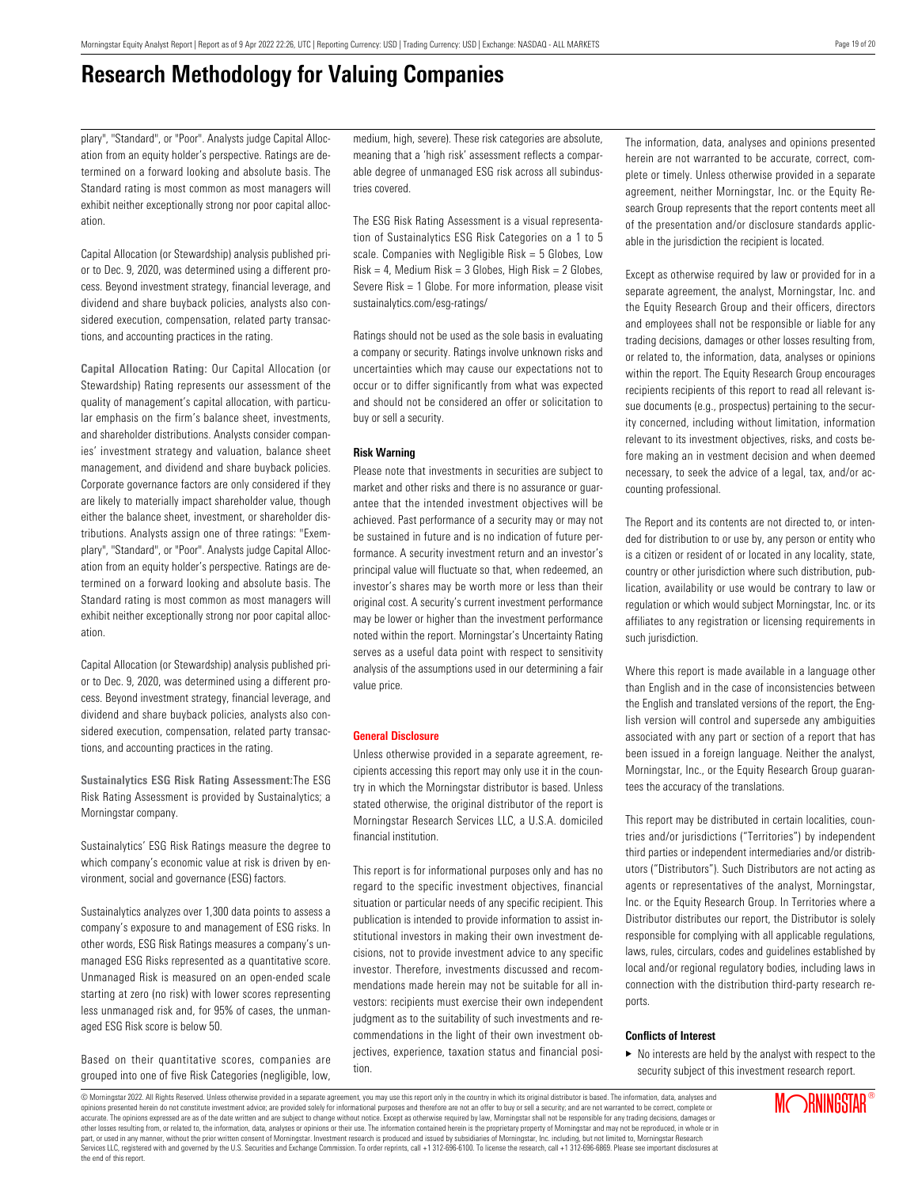plary", "Standard", or "Poor". Analysts judge Capital Allocation from an equity holder's perspective. Ratings are determined on a forward looking and absolute basis. The Standard rating is most common as most managers will exhibit neither exceptionally strong nor poor capital allocation.

Capital Allocation (or Stewardship) analysis published prior to Dec. 9, 2020, was determined using a different process. Beyond investment strategy, financial leverage, and dividend and share buyback policies, analysts also considered execution, compensation, related party transactions, and accounting practices in the rating.

**Capital Allocation Rating:** Our Capital Allocation (or Stewardship) Rating represents our assessment of the quality of management's capital allocation, with particular emphasis on the firm's balance sheet, investments, and shareholder distributions. Analysts consider companies' investment strategy and valuation, balance sheet management, and dividend and share buyback policies. Corporate governance factors are only considered if they are likely to materially impact shareholder value, though either the balance sheet, investment, or shareholder distributions. Analysts assign one of three ratings: "Exemplary", "Standard", or "Poor". Analysts judge Capital Allocation from an equity holder's perspective. Ratings are determined on a forward looking and absolute basis. The Standard rating is most common as most managers will exhibit neither exceptionally strong nor poor capital allocation.

Capital Allocation (or Stewardship) analysis published prior to Dec. 9, 2020, was determined using a different process. Beyond investment strategy, financial leverage, and dividend and share buyback policies, analysts also considered execution, compensation, related party transactions, and accounting practices in the rating.

**Sustainalytics ESG Risk Rating Assessment:**The ESG Risk Rating Assessment is provided by Sustainalytics; a Morningstar company.

Sustainalytics' ESG Risk Ratings measure the degree to which company's economic value at risk is driven by environment, social and governance (ESG) factors.

Sustainalytics analyzes over 1,300 data points to assess a company's exposure to and management of ESG risks. In other words, ESG Risk Ratings measures a company's unmanaged ESG Risks represented as a quantitative score. Unmanaged Risk is measured on an open-ended scale starting at zero (no risk) with lower scores representing less unmanaged risk and, for 95% of cases, the unmanaged ESG Risk score is below 50.

Based on their quantitative scores, companies are grouped into one of five Risk Categories (negligible, low, medium, high, severe). These risk categories are absolute, meaning that a 'high risk' assessment reflects a comparable degree of unmanaged ESG risk across all subindustries covered.

The ESG Risk Rating Assessment is a visual representation of Sustainalytics ESG Risk Categories on a 1 to 5 scale. Companies with Negligible Risk = 5 Globes, Low  $Risk = 4$ , Medium Risk = 3 Globes, High Risk = 2 Globes, Severe Risk = 1 Globe. For more information, please visit sustainalytics.com/esg-ratings/

Ratings should not be used as the sole basis in evaluating a company or security. Ratings involve unknown risks and uncertainties which may cause our expectations not to occur or to differ significantly from what was expected and should not be considered an offer or solicitation to buy or sell a security.

## **Risk Warning**

Please note that investments in securities are subject to market and other risks and there is no assurance or guarantee that the intended investment objectives will be achieved. Past performance of a security may or may not be sustained in future and is no indication of future performance. A security investment return and an investor's principal value will fluctuate so that, when redeemed, an investor's shares may be worth more or less than their original cost. A security's current investment performance may be lower or higher than the investment performance noted within the report. Morningstar's Uncertainty Rating serves as a useful data point with respect to sensitivity analysis of the assumptions used in our determining a fair value price.

#### **General Disclosure**

Unless otherwise provided in a separate agreement, recipients accessing this report may only use it in the country in which the Morningstar distributor is based. Unless stated otherwise, the original distributor of the report is Morningstar Research Services LLC, a U.S.A. domiciled financial institution.

This report is for informational purposes only and has no regard to the specific investment objectives, financial situation or particular needs of any specific recipient. This publication is intended to provide information to assist institutional investors in making their own investment decisions, not to provide investment advice to any specific investor. Therefore, investments discussed and recommendations made herein may not be suitable for all investors: recipients must exercise their own independent judgment as to the suitability of such investments and recommendations in the light of their own investment objectives, experience, taxation status and financial position.

The information, data, analyses and opinions presented herein are not warranted to be accurate, correct, complete or timely. Unless otherwise provided in a separate agreement, neither Morningstar, Inc. or the Equity Research Group represents that the report contents meet all of the presentation and/or disclosure standards applicable in the jurisdiction the recipient is located.

Except as otherwise required by law or provided for in a separate agreement, the analyst, Morningstar, Inc. and the Equity Research Group and their officers, directors and employees shall not be responsible or liable for any trading decisions, damages or other losses resulting from, or related to, the information, data, analyses or opinions within the report. The Equity Research Group encourages recipients recipients of this report to read all relevant issue documents (e.g., prospectus) pertaining to the security concerned, including without limitation, information relevant to its investment objectives, risks, and costs before making an in vestment decision and when deemed necessary, to seek the advice of a legal, tax, and/or accounting professional.

The Report and its contents are not directed to, or intended for distribution to or use by, any person or entity who is a citizen or resident of or located in any locality, state, country or other jurisdiction where such distribution, publication, availability or use would be contrary to law or regulation or which would subject Morningstar, Inc. or its affiliates to any registration or licensing requirements in such jurisdiction.

Where this report is made available in a language other than English and in the case of inconsistencies between the English and translated versions of the report, the English version will control and supersede any ambiguities associated with any part or section of a report that has been issued in a foreign language. Neither the analyst, Morningstar, Inc., or the Equity Research Group guarantees the accuracy of the translations.

This report may be distributed in certain localities, countries and/or jurisdictions ("Territories") by independent third parties or independent intermediaries and/or distributors ("Distributors"). Such Distributors are not acting as agents or representatives of the analyst, Morningstar, Inc. or the Equity Research Group. In Territories where a Distributor distributes our report, the Distributor is solely responsible for complying with all applicable regulations, laws, rules, circulars, codes and guidelines established by local and/or regional regulatory bodies, including laws in connection with the distribution third-party research reports.

## **Conflicts of Interest**

 $\blacktriangleright$  No interests are held by the analyst with respect to the security subject of this investment research report.

© Morningstar 2022. All Rights Reserved. Unless otherwise provided in a separate agreement, you may use this report only in the country in which its original distributor is based. The information, data, analyses and opinions presented herein do not constitute investment advice; are provided solely for informational purposes and therefore are not an offer to buy or sell a security; and are not warranted to be correct, complete or accurate. The opinions expressed are as of the date written and are subject to change without notice. Except as otherwise required by law, Morningstar shall not be responsible for any trading decisions, damages or other losses resulting from, or related to, the information, data, analyses or opinions or their use. The information contained herein is the proprietary property of Morningstar and may not be reproduced, in whole or in part, or used in any manner, without the prior written consent of Morningstar. Investment research is produced and issued by subsidiaries of Morningstar, Inc. including, but not limited to, Morningstar Research<br>Services LL the end of this report.